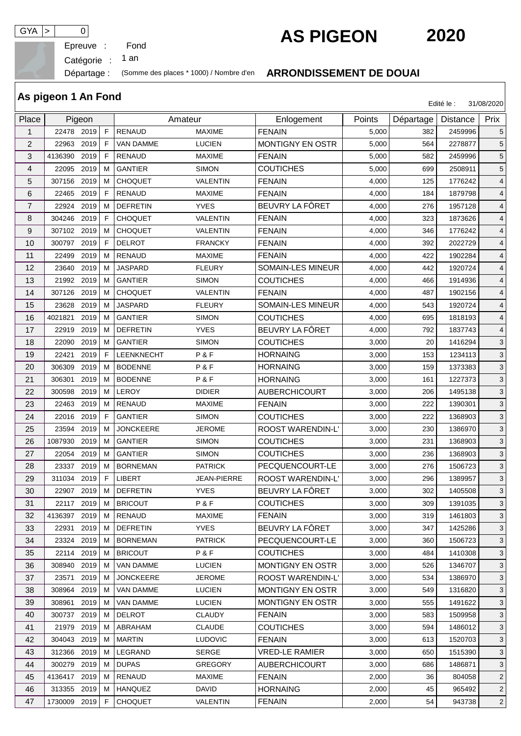Epreuve :

## **GYA**  $> 0$  **AS PIGEON 2020**

Catégorie : an

**As pigeon 1 An Fond**

## Départage : (Somme des places \* 1000) / Nombre d'en **ARRONDISSEMENT DE DOUAI**

|                | AS pigcon i An i Unu  |    |                  |                    | Edité le :<br>31/08/2020 |        |           |          |                |
|----------------|-----------------------|----|------------------|--------------------|--------------------------|--------|-----------|----------|----------------|
| Place          | Pigeon                |    | Amateur          |                    | Enlogement               | Points | Départage | Distance | Prix           |
| 1              | 22478 2019            | F  | <b>RENAUD</b>    | <b>MAXIME</b>      | <b>FENAIN</b>            | 5,000  | 382       | 2459996  | 5              |
| 2              | 22963<br>2019         | F  | <b>VAN DAMME</b> | <b>LUCIEN</b>      | MONTIGNY EN OSTR         | 5,000  | 564       | 2278877  | 5              |
| 3              | 2019<br>4136390       | F  | <b>RENAUD</b>    | <b>MAXIME</b>      | <b>FENAIN</b>            | 5,000  | 582       | 2459996  | 5              |
| 4              | 2019<br>22095         | м  | <b>GANTIER</b>   | <b>SIMON</b>       | <b>COUTICHES</b>         | 5,000  | 699       | 2508911  | 5              |
| 5              | 2019<br>307156        | м  | <b>CHOQUET</b>   | <b>VALENTIN</b>    | <b>FENAIN</b>            | 4,000  | 125       | 1776242  | $\overline{4}$ |
| 6              | 22465<br>2019         | F  | <b>RENAUD</b>    | <b>MAXIME</b>      | <b>FENAIN</b>            | 4,000  | 184       | 1879798  | 4              |
| $\overline{7}$ | 22924<br>2019         | м  | <b>DEFRETIN</b>  | <b>YVES</b>        | BEUVRY LA FÔRET          | 4,000  | 276       | 1957128  | 4              |
| 8              | 304246<br>2019        | F  | <b>CHOQUET</b>   | VALENTIN           | <b>FENAIN</b>            | 4,000  | 323       | 1873626  | $\overline{4}$ |
| 9              | 307102 2019           | м  | <b>CHOQUET</b>   | VALENTIN           | <b>FENAIN</b>            | 4,000  | 346       | 1776242  | 4              |
| 10             | 300797<br>2019        | F  | <b>DELROT</b>    | <b>FRANCKY</b>     | <b>FENAIN</b>            | 4,000  | 392       | 2022729  | $\overline{4}$ |
| 11             | 2019<br>22499         | м  | <b>RENAUD</b>    | <b>MAXIME</b>      | <b>FENAIN</b>            | 4,000  | 422       | 1902284  | 4              |
| 12             | 2019<br>23640         | м  | <b>JASPARD</b>   | <b>FLEURY</b>      | SOMAIN-LES MINEUR        | 4,000  | 442       | 1920724  | 4              |
| 13             | 2019<br>21992         | м  | <b>GANTIER</b>   | <b>SIMON</b>       | <b>COUTICHES</b>         | 4,000  | 466       | 1914936  | 4              |
| 14             | 307126<br>2019        | м  | <b>CHOQUET</b>   | <b>VALENTIN</b>    | <b>FENAIN</b>            | 4,000  | 487       | 1902156  | $\overline{4}$ |
| 15             | 23628<br>2019         | м  | <b>JASPARD</b>   | <b>FLEURY</b>      | SOMAIN-LES MINEUR        | 4,000  | 543       | 1920724  | $\overline{4}$ |
| 16             | 4021821<br>2019       | м  | <b>GANTIER</b>   | <b>SIMON</b>       | <b>COUTICHES</b>         | 4,000  | 695       | 1818193  | 4              |
| 17             | 22919<br>2019         | м  | <b>DEFRETIN</b>  | <b>YVES</b>        | BEUVRY LA FÔRET          | 4,000  | 792       | 1837743  | 4              |
| 18             | 22090<br>2019         | м  | <b>GANTIER</b>   | <b>SIMON</b>       | <b>COUTICHES</b>         | 3,000  | 20        | 1416294  | 3              |
| 19             | 22421<br>2019         | F  | LEENKNECHT       | P&F                | <b>HORNAING</b>          | 3,000  | 153       | 1234113  | 3              |
| 20             | 306309<br>2019        | м  | <b>BODENNE</b>   | P&F                | <b>HORNAING</b>          | 3,000  | 159       | 1373383  | 3              |
| 21             | 306301<br>2019        | м  | <b>BODENNE</b>   | P&F                | <b>HORNAING</b>          | 3,000  | 161       | 1227373  | $\mathbf{3}$   |
| 22             | 2019<br>300598        | м  | <b>LEROY</b>     | <b>DIDIER</b>      | <b>AUBERCHICOURT</b>     | 3,000  | 206       | 1495138  | 3              |
| 23             | 2019<br>22463         | м  | <b>RENAUD</b>    | <b>MAXIME</b>      | <b>FENAIN</b>            | 3,000  | 222       | 1390301  | 3              |
| 24             | 22016<br>2019         | F  | <b>GANTIER</b>   | <b>SIMON</b>       | <b>COUTICHES</b>         | 3,000  | 222       | 1368903  | 3              |
| 25             | 23594<br>2019         | м  | <b>JONCKEERE</b> | JEROME             | ROOST WARENDIN-L'        | 3,000  | 230       | 1386970  | 3              |
| 26             | 1087930<br>2019       | м  | <b>GANTIER</b>   | <b>SIMON</b>       | <b>COUTICHES</b>         | 3,000  | 231       | 1368903  | $\mathbf{3}$   |
| 27             | 2019<br>22054         | м  | <b>GANTIER</b>   | <b>SIMON</b>       | <b>COUTICHES</b>         | 3,000  | 236       | 1368903  | 3              |
| 28             | 2019<br>23337         | м  | <b>BORNEMAN</b>  | <b>PATRICK</b>     | PECQUENCOURT-LE          | 3,000  | 276       | 1506723  | 3              |
| 29             | 311034 2019           | F  | <b>LIBERT</b>    | <b>JEAN-PIERRE</b> | ROOST WARENDIN-L'        | 3,000  | 296       | 1389957  | 3              |
| 30             | 22907 2019 M DEFRETIN |    |                  | <b>YVES</b>        | BEUVRY LA FÔRET          | 3,000  | 302       | 1405508  | $\mathsf 3$    |
| 31             | 22117 2019            | м  | <b>BRICOUT</b>   | P & F              | <b>COUTICHES</b>         | 3,000  | 309       | 1391035  | 3              |
| 32             | 4136397 2019          | М  | RENAUD           | <b>MAXIME</b>      | <b>FENAIN</b>            | 3,000  | 319       | 1461803  | 3              |
| 33             | 2019<br>22931         | м  | <b>DEFRETIN</b>  | <b>YVES</b>        | BEUVRY LA FÔRET          | 3,000  | 347       | 1425286  | 3              |
| 34             | 23324 2019            | M  | <b>BORNEMAN</b>  | <b>PATRICK</b>     | PECQUENCOURT-LE          | 3,000  | 360       | 1506723  | 3              |
| 35             | 22114<br>2019         | м  | <b>BRICOUT</b>   | P&F                | <b>COUTICHES</b>         | 3,000  | 484       | 1410308  | 3              |
| 36             | 308940<br>2019        | м  | VAN DAMME        | <b>LUCIEN</b>      | MONTIGNY EN OSTR         | 3,000  | 526       | 1346707  | 3              |
| 37             | 2019<br>23571         | м  | <b>JONCKEERE</b> | <b>JEROME</b>      | <b>ROOST WARENDIN-L'</b> | 3,000  | 534       | 1386970  | 3              |
| 38             | 2019<br>308964        | м  | <b>VAN DAMME</b> | <b>LUCIEN</b>      | MONTIGNY EN OSTR         | 3,000  | 549       | 1316820  | 3              |
| 39             | 308961<br>2019        | м  | <b>VAN DAMME</b> | <b>LUCIEN</b>      | <b>MONTIGNY EN OSTR</b>  | 3,000  | 555       | 1491622  | 3              |
| 40             | 300737 2019           | м  | <b>DELROT</b>    | <b>CLAUDY</b>      | <b>FENAIN</b>            | 3,000  | 583       | 1509958  | 3              |
| 41             | 21979 2019            | M  | ABRAHAM          | <b>CLAUDE</b>      | <b>COUTICHES</b>         | 3,000  | 594       | 1486012  | 3              |
| 42             | 304043<br>2019        | м  | MARTIN           | <b>LUDOVIC</b>     | <b>FENAIN</b>            | 3,000  | 613       | 1520703  | 3              |
| 43             | 2019<br>312366        | М  | LEGRAND          | SERGE              | <b>VRED-LE RAMIER</b>    | 3,000  | 650       | 1515390  | 3              |
| 44             | 300279 2019           | M  | <b>DUPAS</b>     | <b>GREGORY</b>     | <b>AUBERCHICOURT</b>     | 3,000  | 686       | 1486871  | $\mathbf{3}$   |
| 45             | 4136417 2019          | м  | RENAUD           | <b>MAXIME</b>      | <b>FENAIN</b>            | 2,000  | 36        | 804058   | $\overline{2}$ |
| 46             | 313355 2019           | м  | <b>HANQUEZ</b>   | DAVID              | <b>HORNAING</b>          | 2,000  | 45        | 965492   | 2              |
| 47             | 1730009 2019          | F. | <b>CHOQUET</b>   | VALENTIN           | <b>FENAIN</b>            | 2,000  | 54        | 943738   | $\overline{2}$ |

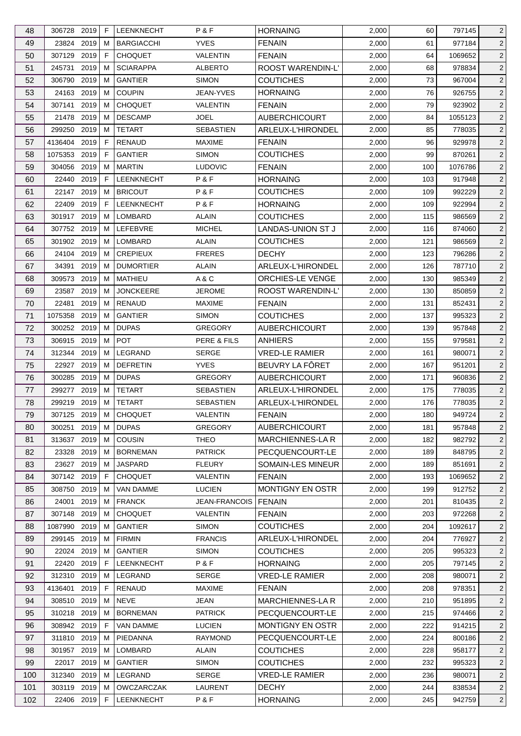| 48       | 306728 2019     |      | F      | <b>LEENKNECHT</b> | P&F                       | <b>HORNAING</b>                       | 2,000          | 60         | 797145           | 2                                |
|----------|-----------------|------|--------|-------------------|---------------------------|---------------------------------------|----------------|------------|------------------|----------------------------------|
| 49       | 23824           | 2019 | м      | <b>BARGIACCHI</b> | <b>YVES</b>               | <b>FENAIN</b>                         | 2,000          | 61         | 977184           | $\overline{2}$                   |
| 50       | 307129          | 2019 | F.     | <b>CHOQUET</b>    | <b>VALENTIN</b>           | <b>FENAIN</b>                         | 2,000          | 64         | 1069652          | $\overline{2}$                   |
| 51       | 245731          | 2019 | м      | <b>SCIARAPPA</b>  | <b>ALBERTO</b>            | ROOST WARENDIN-L'                     | 2,000          | 68         | 978834           | $\overline{2}$                   |
| 52       | 306790          | 2019 | м      | <b>GANTIER</b>    | <b>SIMON</b>              | <b>COUTICHES</b>                      | 2,000          | 73         | 967004           | $\overline{c}$                   |
| 53       | 24163           | 2019 | м      | <b>COUPIN</b>     | JEAN-YVES                 | <b>HORNAING</b>                       | 2,000          | 76         | 926755           | $\overline{2}$                   |
| 54       | 307141          | 2019 | M      | <b>CHOQUET</b>    | VALENTIN                  | <b>FENAIN</b>                         | 2,000          | 79         | 923902           | $\overline{c}$                   |
| 55       | 21478 2019      |      | м      | <b>DESCAMP</b>    | <b>JOEL</b>               | <b>AUBERCHICOURT</b>                  | 2,000          | 84         | 1055123          | $\overline{c}$                   |
| 56       | 299250          | 2019 | м      | <b>TETART</b>     | <b>SEBASTIEN</b>          | ARLEUX-L'HIRONDEL                     | 2,000          | 85         | 778035           | $\overline{2}$                   |
| 57       | 4136404         | 2019 | F      | <b>RENAUD</b>     | <b>MAXIME</b>             | <b>FENAIN</b>                         | 2,000          | 96         | 929978           | $\overline{2}$                   |
| 58       | 1075353         | 2019 | F.     | <b>GANTIER</b>    | <b>SIMON</b>              | <b>COUTICHES</b>                      | 2,000          | 99         | 870261           | $\overline{c}$                   |
| 59       | 304056 2019     |      | м      | <b>MARTIN</b>     | <b>LUDOVIC</b>            | <b>FENAIN</b>                         | 2,000          | 100        | 1076786          | $\overline{c}$                   |
| 60       | 22440           | 2019 | F      | LEENKNECHT        | P&F                       | <b>HORNAING</b>                       | 2,000          | 103        | 917948           | $\overline{2}$                   |
| 61       | 22147           | 2019 | м      | <b>BRICOUT</b>    | P&F                       | <b>COUTICHES</b>                      | 2,000          | 109        | 992229           | $\overline{2}$                   |
| 62       | 22409 2019      |      | F.     | <b>LEENKNECHT</b> | P&F                       | <b>HORNAING</b>                       | 2,000          | 109        | 922994           | $\overline{2}$                   |
| 63       | 301917          | 2019 | м      | LOMBARD           | <b>ALAIN</b>              | <b>COUTICHES</b>                      | 2,000          | 115        | 986569           | $\overline{c}$                   |
| 64       | 307752 2019     |      | м      | LEFEBVRE          | <b>MICHEL</b>             | LANDAS-UNION ST J                     | 2,000          | 116        | 874060           | $\overline{2}$                   |
| 65       | 301902 2019     |      | м      | <b>LOMBARD</b>    | <b>ALAIN</b>              | <b>COUTICHES</b>                      | 2,000          | 121        | 986569           | $\overline{c}$                   |
| 66       | 24104 2019      |      | м      | <b>CREPIEUX</b>   | <b>FRERES</b>             | <b>DECHY</b>                          | 2,000          | 123        | 796286           | $\overline{2}$                   |
| 67       | 34391           | 2019 | м      | <b>DUMORTIER</b>  | <b>ALAIN</b>              | ARLEUX-L'HIRONDEL                     | 2,000          | 126        | 787710           | $\overline{c}$                   |
| 68       | 309573          | 2019 | м      | MATHIEU           | A & C                     | <b>ORCHIES-LE VENGE</b>               | 2,000          | 130        | 985349           | $\overline{2}$                   |
| 69       | 23587           | 2019 | м      | <b>JONCKEERE</b>  | <b>JEROME</b>             | ROOST WARENDIN-L'                     | 2,000          | 130        | 850859           | $\overline{c}$                   |
| 70       | 22481           | 2019 | м      | <b>RENAUD</b>     | <b>MAXIME</b>             | <b>FENAIN</b>                         | 2,000          | 131        | 852431           | $\overline{c}$                   |
| 71       | 1075358         | 2019 | м      | <b>GANTIER</b>    | <b>SIMON</b>              | <b>COUTICHES</b>                      | 2,000          | 137        | 995323           | $\overline{2}$                   |
| 72       | 300252          | 2019 | м      | <b>DUPAS</b>      | <b>GREGORY</b>            | <b>AUBERCHICOURT</b>                  | 2,000          | 139        | 957848           | $\overline{2}$                   |
| 73       | 306915 2019     |      | м      | <b>POT</b>        | PERE & FILS               | <b>ANHIERS</b>                        | 2,000          | 155        | 979581           | $\overline{c}$                   |
| 74       | 312344          | 2019 | м      | LEGRAND           | <b>SERGE</b>              | <b>VRED-LE RAMIER</b>                 | 2,000          | 161        | 980071           | $\overline{c}$                   |
| 75       | 22927           | 2019 | м      | <b>DEFRETIN</b>   | <b>YVES</b>               | BEUVRY LA FÔRET                       | 2,000          | 167        | 951201           | $\overline{2}$                   |
| 76       | 300285 2019     |      | м      | <b>DUPAS</b>      | <b>GREGORY</b>            | <b>AUBERCHICOURT</b>                  | 2,000          | 171        | 960836           | $\overline{c}$                   |
| 77       | 299277 2019     |      | м      | <b>TETART</b>     | <b>SEBASTIEN</b>          | ARLEUX-L'HIRONDEL                     | 2,000          | 175        | 778035           | $\overline{2}$                   |
| 78       | 299219 2019     |      | M      | <b>TETART</b>     | <b>SEBASTIEN</b>          | ARLEUX-L'HIRONDEL                     | 2,000          | 176        | 778035           | $\overline{c}$                   |
| 79       | 307125 2019     |      | M      | <b>CHOQUET</b>    | VALENTIN                  | <b>FENAIN</b>                         | 2,000          | 180        | 949724           | $\overline{c}$                   |
| 80       | 300251 2019     |      | М      | <b>DUPAS</b>      | GREGORY                   | <b>AUBERCHICOURT</b>                  | 2,000          | 181        | 957848           | $\overline{2}$                   |
| 81       | 313637 2019     |      | м      | <b>COUSIN</b>     | <b>THEO</b>               | <b>MARCHIENNES-LAR</b>                | 2,000          | 182        | 982792           | $\overline{2}$                   |
| 82       | 23328           | 2019 | м      | <b>BORNEMAN</b>   | <b>PATRICK</b>            | PECQUENCOURT-LE                       | 2,000          | 189        | 848795           | $\overline{2}$                   |
| 83       | 23627           | 2019 | м      | <b>JASPARD</b>    | <b>FLEURY</b>             | SOMAIN-LES MINEUR                     | 2,000          | 189        | 851691           | $\overline{2}$                   |
| 84       | 307142 2019     |      | F      | <b>CHOQUET</b>    | VALENTIN                  | <b>FENAIN</b>                         | 2,000          | 193        | 1069652          | $\overline{2}$                   |
| 85       | 308750          | 2019 | м      | VAN DAMME         | <b>LUCIEN</b>             | MONTIGNY EN OSTR                      | 2,000          | 199        | 912752           | $\overline{2}$                   |
|          |                 | 2019 |        | <b>FRANCK</b>     |                           |                                       |                |            |                  |                                  |
| 86<br>87 | 24001<br>307148 | 2019 | M<br>M | <b>CHOQUET</b>    | JEAN-FRANCOIS<br>VALENTIN | FENAIN<br><b>FENAIN</b>               | 2,000<br>2,000 | 201<br>203 | 810435<br>972268 | $\overline{2}$<br>$\overline{2}$ |
|          | 1087990 2019    |      |        | <b>GANTIER</b>    | <b>SIMON</b>              |                                       |                |            | 1092617          |                                  |
| 88<br>89 | 299145 2019     |      | м<br>М | <b>FIRMIN</b>     | <b>FRANCIS</b>            | <b>COUTICHES</b><br>ARLEUX-L'HIRONDEL | 2,000<br>2,000 | 204<br>204 | 776927           | $\overline{2}$<br>$\overline{c}$ |
| 90       | 22024           | 2019 | м      | <b>GANTIER</b>    | <b>SIMON</b>              | <b>COUTICHES</b>                      | 2,000          | 205        | 995323           |                                  |
| 91       |                 |      | F.     | <b>LEENKNECHT</b> | P&F                       | <b>HORNAING</b>                       |                |            | 797145           | 2                                |
|          | 22420 2019      |      |        |                   |                           |                                       | 2,000          | 205        |                  | $\overline{2}$<br>2              |
| 92       | 312310 2019     |      | M      | LEGRAND           | <b>SERGE</b>              | <b>VRED-LE RAMIER</b>                 | 2,000          | 208        | 980071           |                                  |
| 93       | 4136401         | 2019 | F      | RENAUD            | <b>MAXIME</b>             | <b>FENAIN</b>                         | 2,000          | 208        | 978351           | $\overline{2}$                   |
| 94       | 308510          | 2019 | м      | <b>NEVE</b>       | JEAN                      | MARCHIENNES-LA R                      | 2,000          | 210        | 951895           | $\overline{2}$                   |
| 95       | 310218 2019     |      | м      | <b>BORNEMAN</b>   | <b>PATRICK</b>            | PECQUENCOURT-LE                       | 2,000          | 215        | 974466           | $\overline{2}$                   |
| 96       | 308942 2019     |      | F      | VAN DAMME         | <b>LUCIEN</b>             | MONTIGNY EN OSTR                      | 2,000          | 222        | 914215           | $\overline{2}$                   |
| 97       | 311810          | 2019 | M      | PIEDANNA          | <b>RAYMOND</b>            | PECQUENCOURT-LE                       | 2,000          | 224        | 800186           | $\overline{2}$                   |
| 98       | 301957 2019     |      | M      | LOMBARD           | <b>ALAIN</b>              | <b>COUTICHES</b>                      | 2,000          | 228        | 958177           | $\overline{2}$                   |
| 99       | 22017 2019      |      | м      | <b>GANTIER</b>    | <b>SIMON</b>              | <b>COUTICHES</b>                      | 2,000          | 232        | 995323           | $\overline{2}$                   |
| 100      | 312340 2019     |      | М      | LEGRAND           | <b>SERGE</b>              | <b>VRED-LE RAMIER</b>                 | 2,000          | 236        | 980071           | $\overline{c}$                   |
| 101      | 303119 2019     |      | M      | <b>OWCZARCZAK</b> | LAURENT                   | <b>DECHY</b>                          | 2,000          | 244        | 838534           | $\overline{c}$                   |
| 102      | 22406 2019      |      | F      | LEENKNECHT        | P&F                       | <b>HORNAING</b>                       | 2,000          | 245        | 942759           | $\overline{2}$                   |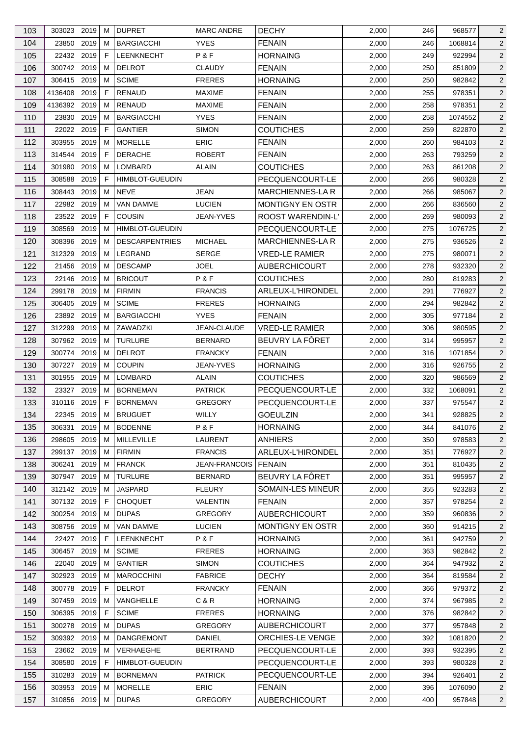| 103 | 303023 2019  |      | м  | <b>DUPRET</b>          | <b>MARC ANDRE</b>    | <b>DECHY</b>            | 2,000 | 246 | 968577  | $\overline{2}$ |
|-----|--------------|------|----|------------------------|----------------------|-------------------------|-------|-----|---------|----------------|
| 104 | 23850        | 2019 | м  | <b>BARGIACCHI</b>      | <b>YVES</b>          | <b>FENAIN</b>           | 2,000 | 246 | 1068814 | $\overline{c}$ |
| 105 | 22432 2019   |      | F  | <b>LEENKNECHT</b>      | P&F                  | <b>HORNAING</b>         | 2,000 | 249 | 922994  | $\overline{2}$ |
| 106 | 300742 2019  |      | м  | <b>DELROT</b>          | <b>CLAUDY</b>        | <b>FENAIN</b>           | 2,000 | 250 | 851809  | $\overline{2}$ |
| 107 | 306415 2019  |      | M  | <b>SCIME</b>           | <b>FRERES</b>        | <b>HORNAING</b>         | 2,000 | 250 | 982842  | $\overline{2}$ |
| 108 | 4136408      | 2019 | F  | <b>RENAUD</b>          | <b>MAXIME</b>        | <b>FENAIN</b>           | 2,000 | 255 | 978351  | $\overline{c}$ |
| 109 | 4136392 2019 |      | м  | RENAUD                 | <b>MAXIME</b>        | <b>FENAIN</b>           | 2,000 | 258 | 978351  | $\overline{2}$ |
| 110 | 23830        | 2019 | м  | <b>BARGIACCHI</b>      | <b>YVES</b>          | <b>FENAIN</b>           | 2,000 | 258 | 1074552 | $\overline{c}$ |
| 111 | 22022 2019   |      | F  | <b>GANTIER</b>         | <b>SIMON</b>         | <b>COUTICHES</b>        | 2,000 | 259 | 822870  | 2              |
| 112 | 303955       | 2019 | м  | <b>MORELLE</b>         | <b>ERIC</b>          | <b>FENAIN</b>           | 2,000 | 260 | 984103  | $\overline{2}$ |
| 113 | 314544       | 2019 | F  | <b>DERACHE</b>         | <b>ROBERT</b>        | <b>FENAIN</b>           | 2,000 | 263 | 793259  | $\overline{c}$ |
| 114 | 301980       | 2019 | м  | <b>LOMBARD</b>         | <b>ALAIN</b>         | <b>COUTICHES</b>        | 2,000 | 263 | 861208  | $\overline{2}$ |
| 115 | 308588       | 2019 | F  | <b>HIMBLOT-GUEUDIN</b> |                      | PECQUENCOURT-LE         | 2,000 | 266 | 980328  | $\overline{c}$ |
| 116 | 308443       | 2019 | M  | <b>NEVE</b>            | JEAN                 | MARCHIENNES-LA R        | 2,000 | 266 | 985067  | $\overline{2}$ |
| 117 | 22982 2019   |      | М  | VAN DAMME              | <b>LUCIEN</b>        | <b>MONTIGNY EN OSTR</b> | 2,000 | 266 | 836560  | $\overline{2}$ |
| 118 | 23522 2019   |      | F  | <b>COUSIN</b>          | <b>JEAN-YVES</b>     | ROOST WARENDIN-L'       | 2,000 | 269 | 980093  | $\overline{2}$ |
| 119 | 308569       | 2019 | м  | HIMBLOT-GUEUDIN        |                      | PECQUENCOURT-LE         | 2,000 | 275 | 1076725 | $\overline{c}$ |
| 120 | 308396       | 2019 | м  | <b>DESCARPENTRIES</b>  | <b>MICHAEL</b>       | <b>MARCHIENNES-LAR</b>  | 2,000 | 275 | 936526  | $\overline{c}$ |
|     |              |      |    |                        |                      |                         |       |     |         |                |
| 121 | 312329       | 2019 | м  | <b>LEGRAND</b>         | <b>SERGE</b>         | <b>VRED-LE RAMIER</b>   | 2,000 | 275 | 980071  | $\overline{c}$ |
| 122 | 21456        | 2019 | м  | <b>DESCAMP</b>         | <b>JOEL</b>          | <b>AUBERCHICOURT</b>    | 2,000 | 278 | 932320  | $\overline{2}$ |
| 123 | 22146        | 2019 | м  | <b>BRICOUT</b>         | P&F                  | <b>COUTICHES</b>        | 2,000 | 280 | 819283  | $\overline{2}$ |
| 124 | 299178       | 2019 | м  | <b>FIRMIN</b>          | <b>FRANCIS</b>       | ARLEUX-L'HIRONDEL       | 2,000 | 291 | 776927  | $\overline{c}$ |
| 125 | 306405       | 2019 | м  | <b>SCIME</b>           | <b>FRERES</b>        | <b>HORNAING</b>         | 2,000 | 294 | 982842  | $\overline{2}$ |
| 126 | 23892 2019   |      | м  | <b>BARGIACCHI</b>      | <b>YVES</b>          | <b>FENAIN</b>           | 2,000 | 305 | 977184  | $\overline{c}$ |
| 127 | 312299       | 2019 | M  | ZAWADZKI               | JEAN-CLAUDE          | <b>VRED-LE RAMIER</b>   | 2,000 | 306 | 980595  | $\overline{2}$ |
| 128 | 307962       | 2019 | м  | <b>TURLURE</b>         | <b>BERNARD</b>       | BEUVRY LA FÔRET         | 2,000 | 314 | 995957  | $\overline{2}$ |
| 129 | 300774 2019  |      | м  | <b>DELROT</b>          | <b>FRANCKY</b>       | <b>FENAIN</b>           | 2,000 | 316 | 1071854 | $\overline{2}$ |
| 130 | 307227       | 2019 | м  | <b>COUPIN</b>          | <b>JEAN-YVES</b>     | <b>HORNAING</b>         | 2,000 | 316 | 926755  | $\overline{2}$ |
| 131 | 301955       | 2019 | м  | LOMBARD                | ALAIN                | <b>COUTICHES</b>        | 2,000 | 320 | 986569  | $\overline{2}$ |
| 132 | 23327        | 2019 | м  | <b>BORNEMAN</b>        | <b>PATRICK</b>       | PECQUENCOURT-LE         | 2,000 | 332 | 1068091 | $\overline{2}$ |
| 133 | 310116 2019  |      | F  | <b>BORNEMAN</b>        | <b>GREGORY</b>       | PECQUENCOURT-LE         | 2,000 | 337 | 975547  | $\overline{2}$ |
| 134 | 22345 2019 M |      |    | <b>BRUGUET</b>         | WILLY                | <b>GOEULZIN</b>         | 2,000 | 341 | 928825  | $\overline{2}$ |
| 135 | 306331       | 2019 | М  | <b>BODENNE</b>         | P&F                  | <b>HORNAING</b>         | 2,000 | 344 | 841076  | $\overline{2}$ |
| 136 | 298605       | 2019 | м  | MILLEVILLE             | LAURENT              | <b>ANHIERS</b>          | 2,000 | 350 | 978583  | $\overline{2}$ |
| 137 | 299137       | 2019 | м  | <b>FIRMIN</b>          | <b>FRANCIS</b>       | ARLEUX-L'HIRONDEL       | 2,000 | 351 | 776927  | $\overline{2}$ |
| 138 | 306241       | 2019 | M  | <b>FRANCK</b>          | <b>JEAN-FRANCOIS</b> | <b>FENAIN</b>           | 2,000 | 351 | 810435  | 2              |
| 139 | 307947 2019  |      | м  | <b>TURLURE</b>         | <b>BERNARD</b>       | BEUVRY LA FÔRET         | 2,000 | 351 | 995957  | $\overline{2}$ |
| 140 | 312142 2019  |      | м  | <b>JASPARD</b>         | <b>FLEURY</b>        | SOMAIN-LES MINEUR       | 2,000 | 355 | 923283  | $\overline{2}$ |
| 141 | 307132 2019  |      | F  | <b>CHOQUET</b>         | VALENTIN             | <b>FENAIN</b>           | 2,000 | 357 | 978254  | $\overline{2}$ |
| 142 | 300254 2019  |      | м  | <b>DUPAS</b>           | <b>GREGORY</b>       | <b>AUBERCHICOURT</b>    | 2,000 | 359 | 960836  | $\overline{2}$ |
| 143 | 308756 2019  |      | м  | VAN DAMME              | <b>LUCIEN</b>        | MONTIGNY EN OSTR        | 2,000 | 360 | 914215  | $\overline{2}$ |
| 144 | 22427 2019   |      | F  | <b>LEENKNECHT</b>      | P&F                  | <b>HORNAING</b>         | 2,000 | 361 | 942759  | $\overline{2}$ |
| 145 | 306457       | 2019 | м  | <b>SCIME</b>           | <b>FRERES</b>        | <b>HORNAING</b>         | 2,000 | 363 | 982842  | $\overline{2}$ |
| 146 | 22040        | 2019 | м  | <b>GANTIER</b>         | <b>SIMON</b>         | <b>COUTICHES</b>        | 2,000 | 364 | 947932  | $\overline{2}$ |
| 147 | 302923       | 2019 | м  | <b>MAROCCHINI</b>      | <b>FABRICE</b>       | <b>DECHY</b>            | 2,000 | 364 | 819584  | $\overline{2}$ |
| 148 | 300778 2019  |      | F  | <b>DELROT</b>          | <b>FRANCKY</b>       | <b>FENAIN</b>           | 2,000 | 366 | 979372  | $\overline{2}$ |
| 149 | 307459       | 2019 | M  | VANGHELLE              | C & R                | <b>HORNAING</b>         | 2,000 | 374 | 967985  | $\overline{2}$ |
| 150 | 306395 2019  |      | F  | <b>SCIME</b>           | <b>FRERES</b>        | <b>HORNAING</b>         | 2,000 | 376 | 982842  | $\overline{2}$ |
| 151 | 300278 2019  |      | м  | <b>DUPAS</b>           | <b>GREGORY</b>       | <b>AUBERCHICOURT</b>    | 2,000 | 377 | 957848  | $\overline{2}$ |
| 152 | 309392 2019  |      | M  | <b>DANGREMONT</b>      | DANIEL               | ORCHIES-LE VENGE        | 2,000 | 392 | 1081820 | $\overline{2}$ |
| 153 | 23662 2019   |      | м  | VERHAEGHE              | <b>BERTRAND</b>      | PECQUENCOURT-LE         | 2,000 | 393 | 932395  | $\overline{2}$ |
| 154 | 308580       | 2019 | F. | HIMBLOT-GUEUDIN        |                      | PECQUENCOURT-LE         | 2,000 | 393 | 980328  | $\overline{2}$ |
|     |              |      | м  |                        |                      |                         |       |     |         | $\overline{2}$ |
| 155 | 310283 2019  |      |    | <b>BORNEMAN</b>        | <b>PATRICK</b>       | PECQUENCOURT-LE         | 2,000 | 394 | 926401  |                |
| 156 | 303953 2019  |      | M  | <b>MORELLE</b>         | <b>ERIC</b>          | <b>FENAIN</b>           | 2,000 | 396 | 1076090 | $\overline{2}$ |
| 157 | 310856 2019  |      | м  | <b>DUPAS</b>           | <b>GREGORY</b>       | <b>AUBERCHICOURT</b>    | 2,000 | 400 | 957848  | $\overline{c}$ |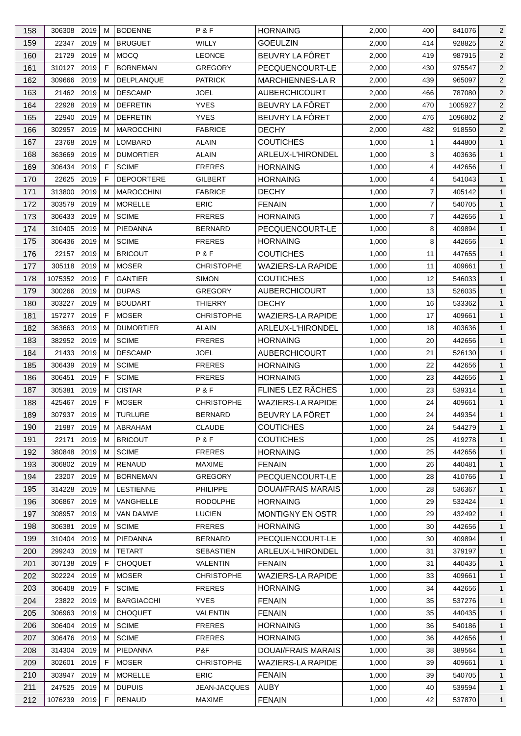| 158        | 306308                | 2019 | M      | <b>BODENNE</b>                 | P & F                     | <b>HORNAING</b>                  | 2,000          | 400            | 841076           | $\overline{2}$               |
|------------|-----------------------|------|--------|--------------------------------|---------------------------|----------------------------------|----------------|----------------|------------------|------------------------------|
| 159        | 22347                 | 2019 | M      | <b>BRUGUET</b>                 | <b>WILLY</b>              | <b>GOEULZIN</b>                  | 2,000          | 414            | 928825           | $\overline{c}$               |
| 160        | 21729                 | 2019 | M      | <b>MOCQ</b>                    | <b>LEONCE</b>             | BEUVRY LA FÔRET                  | 2,000          | 419            | 987915           | $\overline{2}$               |
| 161        | 310127                | 2019 | F      | <b>BORNEMAN</b>                | <b>GREGORY</b>            | PECQUENCOURT-LE                  | 2,000          | 430            | 975547           | $\overline{2}$               |
| 162        | 309666                | 2019 | M      | DELPLANQUE                     | <b>PATRICK</b>            | <b>MARCHIENNES-LA R</b>          | 2,000          | 439            | 965097           | $\overline{2}$               |
| 163        | 21462 2019            |      | M      | <b>DESCAMP</b>                 | <b>JOEL</b>               | <b>AUBERCHICOURT</b>             | 2,000          | 466            | 787080           | $\overline{c}$               |
| 164        | 22928                 | 2019 | М      | <b>DEFRETIN</b>                | <b>YVES</b>               | BEUVRY LA FÔRET                  | 2,000          | 470            | 1005927          | $\overline{2}$               |
| 165        | 22940                 | 2019 | М      | <b>DEFRETIN</b>                | <b>YVES</b>               | BEUVRY LA FÔRET                  | 2,000          | 476            | 1096802          | $\overline{c}$               |
| 166        | 302957                | 2019 | М      | <b>MAROCCHINI</b>              | <b>FABRICE</b>            | <b>DECHY</b>                     | 2,000          | 482            | 918550           | 2                            |
| 167        | 23768                 | 2019 | M      | LOMBARD                        | ALAIN                     | <b>COUTICHES</b>                 | 1,000          | 1              | 444800           | $\mathbf{1}$                 |
| 168        | 363669                | 2019 | м      | <b>DUMORTIER</b>               | <b>ALAIN</b>              | ARLEUX-L'HIRONDEL                | 1,000          | 3              | 403636           | $\mathbf{1}$                 |
| 169        | 306434                | 2019 | F      | <b>SCIME</b>                   | <b>FRERES</b>             | <b>HORNAING</b>                  | 1,000          | 4              | 442656           | $\mathbf{1}$                 |
| 170        | 22625                 | 2019 | F      | <b>DEPOORTERE</b>              | <b>GILBERT</b>            | <b>HORNAING</b>                  | 1,000          | 4              | 541043           | $\mathbf{1}$                 |
| 171        | 313800                | 2019 | M      | <b>MAROCCHINI</b>              | <b>FABRICE</b>            | <b>DECHY</b>                     | 1,000          | 7              | 405142           | $\mathbf{1}$                 |
| 172        | 303579                | 2019 | м      | <b>MORELLE</b>                 | <b>ERIC</b>               | <b>FENAIN</b>                    | 1,000          | $\overline{7}$ | 540705           | $\mathbf{1}$                 |
| 173        | 306433 2019           |      | M      | <b>SCIME</b>                   | <b>FRERES</b>             | <b>HORNAING</b>                  | 1,000          | 7              | 442656           | $\mathbf{1}$                 |
| 174        | 310405                | 2019 | M      | PIEDANNA                       | <b>BERNARD</b>            | PECQUENCOURT-LE                  | 1,000          | 8              | 409894           | $\mathbf{1}$                 |
| 175        | 306436                | 2019 | M      | <b>SCIME</b>                   | <b>FRERES</b>             | <b>HORNAING</b>                  | 1,000          | 8              | 442656           | $\mathbf{1}$                 |
| 176        | 22157 2019            |      | M      | <b>BRICOUT</b>                 | P&F                       | <b>COUTICHES</b>                 | 1,000          | 11             | 447655           | $\mathbf{1}$                 |
| 177        | 305118 2019           |      | М      | <b>MOSER</b>                   | <b>CHRISTOPHE</b>         | <b>WAZIERS-LA RAPIDE</b>         | 1,000          | 11             | 409661           | $\mathbf{1}$                 |
| 178        | 1075352               | 2019 | F      | <b>GANTIER</b>                 | <b>SIMON</b>              | <b>COUTICHES</b>                 | 1,000          | 12             | 546033           | $\mathbf{1}$                 |
| 179        | 300266                | 2019 | M      | <b>DUPAS</b>                   | <b>GREGORY</b>            | <b>AUBERCHICOURT</b>             | 1,000          | 13             | 526035           | $\mathbf{1}$                 |
| 180        | 303227                | 2019 | м      | <b>BOUDART</b>                 | THIERRY                   | <b>DECHY</b>                     | 1,000          | 16             | 533362           | $\mathbf{1}$                 |
| 181        | 157277                | 2019 | F      | <b>MOSER</b>                   | <b>CHRISTOPHE</b>         | <b>WAZIERS-LA RAPIDE</b>         | 1,000          | 17             | 409661           | $\mathbf{1}$                 |
| 182        | 363663                | 2019 | M      | <b>DUMORTIER</b>               | <b>ALAIN</b>              | ARLEUX-L'HIRONDEL                | 1,000          | 18             | 403636           | $\mathbf{1}$                 |
| 183        | 382952                | 2019 | м      | <b>SCIME</b>                   | <b>FRERES</b>             | <b>HORNAING</b>                  | 1,000          | 20             | 442656           | $\mathbf{1}$                 |
| 184        | 21433 2019            |      | M      | <b>DESCAMP</b>                 | <b>JOEL</b>               | <b>AUBERCHICOURT</b>             | 1,000          | 21             | 526130           | $\mathbf{1}$                 |
| 185        | 306439                | 2019 | M      | <b>SCIME</b>                   | <b>FRERES</b>             | <b>HORNAING</b>                  | 1,000          | 22             | 442656           | $\mathbf{1}$                 |
| 186        | 306451                | 2019 | F      | <b>SCIME</b>                   | <b>FRERES</b>             | <b>HORNAING</b>                  | 1,000          | 23             | 442656           | $\mathbf{1}$                 |
| 187        | 305381                | 2019 | М      | <b>CISTAR</b>                  | P&F                       | FLINES LEZ RÂCHES                | 1,000          | 23             | 539314           | $\mathbf{1}$                 |
| 188        | 425467                | 2019 | F      | <b>MOSER</b>                   | <b>CHRISTOPHE</b>         | <b>WAZIERS-LA RAPIDE</b>         | 1,000          | 24             | 409661           | $\mathbf{1}$                 |
| 189        | 307937 2019 M         |      |        | <b>TURLURE</b>                 | <b>BERNARD</b>            | BEUVRY LA FÔRET                  | 1,000          | 24             | 449354           | $\mathbf{1}$                 |
| 190        | 21987 2019            |      | M      | ABRAHAM                        | <b>CLAUDE</b>             | <b>COUTICHES</b>                 | 1,000          | 24             | 544279           | $\mathbf{1}$                 |
| 191        | 22171                 | 2019 | M      | <b>BRICOUT</b>                 | P&F                       | <b>COUTICHES</b>                 | 1,000          | 25             | 419278           | $\mathbf{1}$                 |
| 192        | 380848                | 2019 | M      | <b>SCIME</b>                   | <b>FRERES</b>             | <b>HORNAING</b>                  | 1,000          | 25             | 442656           | $\mathbf{1}$                 |
| 193        | 306802 2019           |      | M      | <b>RENAUD</b>                  | <b>MAXIME</b>             | <b>FENAIN</b>                    | 1,000          | 26             | 440481           | $\mathbf{1}$                 |
| 194        | 23207 2019            |      | M      | <b>BORNEMAN</b>                | <b>GREGORY</b>            | PECQUENCOURT-LE                  | 1,000          | 28             | 410766           | $\mathbf{1}$                 |
| 195        | 314228                | 2019 | М      | <b>LESTIENNE</b>               | <b>PHILIPPE</b>           | <b>DOUAI/FRAIS MARAIS</b>        | 1,000          | 28             | 536367           | $\mathbf{1}$                 |
| 196        | 306867                | 2019 | M      | VANGHELLE                      | <b>RODOLPHE</b>           | <b>HORNAING</b>                  | 1,000          | 29             | 532424           | $\mathbf{1}$                 |
| 197        | 308957                | 2019 | M      | VAN DAMME                      | <b>LUCIEN</b>             | <b>MONTIGNY EN OSTR</b>          | 1,000          | 29             | 432492           | $\mathbf{1}$                 |
| 198        | 306381                | 2019 | M      | <b>SCIME</b>                   | <b>FRERES</b>             | <b>HORNAING</b>                  | 1,000          | 30             | 442656           | $\mathbf{1}$                 |
| 199        | 310404 2019           |      | M      | PIEDANNA                       | <b>BERNARD</b>            | PECQUENCOURT-LE                  | 1,000          | 30             | 409894           | $\mathbf{1}$                 |
| 200        | 299243                | 2019 | M      | TETART                         | <b>SEBASTIEN</b>          | ARLEUX-L'HIRONDEL                | 1,000          | 31             | 379197           | $\mathbf{1}$                 |
| 201        | 307138                | 2019 | F      | <b>CHOQUET</b>                 | <b>VALENTIN</b>           | <b>FENAIN</b>                    | 1,000          | 31             | 440435           | $\mathbf{1}$                 |
| 202        | 302224                | 2019 | M      | <b>MOSER</b>                   | <b>CHRISTOPHE</b>         | WAZIERS-LA RAPIDE                | 1,000          | 33             | 409661           | $\mathbf{1}$                 |
| 203        | 306408 2019           |      | F.     | <b>SCIME</b>                   | <b>FRERES</b>             | <b>HORNAING</b>                  | 1,000          | 34             | 442656           | $\mathbf{1}$                 |
| 204        | 23822                 | 2019 | M      | <b>BARGIACCHI</b>              | <b>YVES</b>               | <b>FENAIN</b>                    | 1,000          | 35             | 537276           | $\mathbf{1}$                 |
|            |                       |      |        |                                |                           |                                  |                | 35             |                  |                              |
| 205<br>206 | 306963<br>306404 2019 | 2019 | M<br>M | <b>CHOQUET</b><br><b>SCIME</b> | VALENTIN<br><b>FRERES</b> | <b>FENAIN</b><br><b>HORNAING</b> | 1,000<br>1,000 | 36             | 440435<br>540186 | $\mathbf{1}$                 |
| 207        | 306476                | 2019 | M      | <b>SCIME</b>                   | <b>FRERES</b>             | <b>HORNAING</b>                  | 1,000          | 36             | 442656           | $\mathbf{1}$<br>$\mathbf{1}$ |
| 208        | 314304                | 2019 | M      | PIEDANNA                       | P&F                       | <b>DOUAI/FRAIS MARAIS</b>        | 1,000          | 38             | 389564           | $\mathbf{1}$                 |
| 209        | 302601                | 2019 | F.     | <b>MOSER</b>                   | <b>CHRISTOPHE</b>         | <b>WAZIERS-LA RAPIDE</b>         | 1,000          | 39             | 409661           | $\mathbf{1}$                 |
| 210        | 303947                | 2019 | М      | <b>MORELLE</b>                 | <b>ERIC</b>               | <b>FENAIN</b>                    | 1,000          | 39             | 540705           | $\mathbf{1}$                 |
|            | 247525 2019           |      | M      | <b>DUPUIS</b>                  | JEAN-JACQUES              | <b>AUBY</b>                      | 1,000          | 40             | 539594           | $\mathbf{1}$                 |
| 211<br>212 | 1076239 2019          |      | F      | RENAUD                         | <b>MAXIME</b>             | <b>FENAIN</b>                    | 1,000          | 42             | 537870           | $\mathbf{1}$                 |
|            |                       |      |        |                                |                           |                                  |                |                |                  |                              |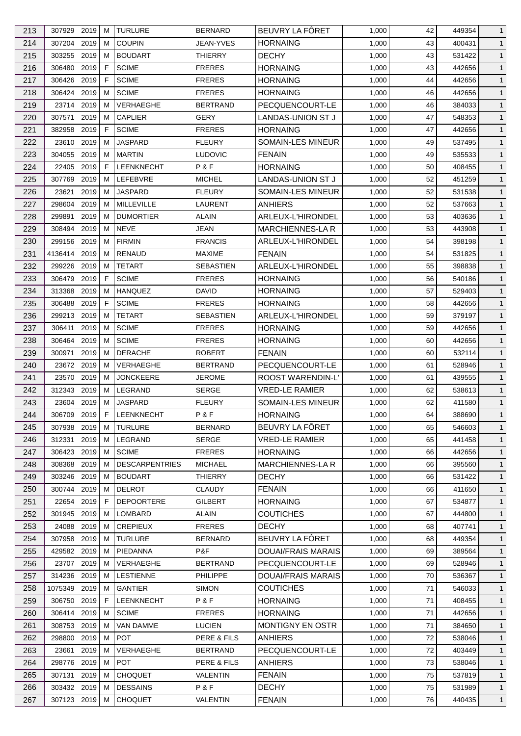| 213 | 307929 2019  |      | M  | <b>TURLURE</b>        | <b>BERNARD</b>   | BEUVRY LA FÔRET           | 1,000 | 42 | 449354 | $\mathbf{1}$ |
|-----|--------------|------|----|-----------------------|------------------|---------------------------|-------|----|--------|--------------|
| 214 | 307204 2019  |      | M  | <b>COUPIN</b>         | JEAN-YVES        | <b>HORNAING</b>           | 1,000 | 43 | 400431 | $\mathbf{1}$ |
| 215 | 303255       | 2019 | M  | <b>BOUDART</b>        | <b>THIERRY</b>   | <b>DECHY</b>              | 1,000 | 43 | 531422 | $\mathbf{1}$ |
| 216 | 306480       | 2019 | F  | <b>SCIME</b>          | <b>FRERES</b>    | <b>HORNAING</b>           | 1,000 | 43 | 442656 | $\mathbf{1}$ |
| 217 | 306426       | 2019 | F  | <b>SCIME</b>          | <b>FRERES</b>    | <b>HORNAING</b>           | 1,000 | 44 | 442656 | $\mathbf{1}$ |
| 218 | 306424 2019  |      | M  | <b>SCIME</b>          | <b>FRERES</b>    | <b>HORNAING</b>           | 1,000 | 46 | 442656 | $\mathbf{1}$ |
| 219 | 23714 2019   |      | M  | VERHAEGHE             | <b>BERTRAND</b>  | PECQUENCOURT-LE           | 1,000 | 46 | 384033 | $\mathbf{1}$ |
| 220 | 307571       | 2019 | M  | <b>CAPLIER</b>        | <b>GERY</b>      | LANDAS-UNION ST J         | 1,000 | 47 | 548353 | $\mathbf{1}$ |
| 221 | 382958       | 2019 | F  | <b>SCIME</b>          | <b>FRERES</b>    | <b>HORNAING</b>           | 1,000 | 47 | 442656 | $\mathbf{1}$ |
| 222 | 23610        | 2019 | м  | <b>JASPARD</b>        | <b>FLEURY</b>    | SOMAIN-LES MINEUR         | 1,000 | 49 | 537495 | $\mathbf{1}$ |
| 223 | 304055       | 2019 | M  | <b>MARTIN</b>         | <b>LUDOVIC</b>   | <b>FENAIN</b>             | 1,000 | 49 | 535533 | $\mathbf{1}$ |
| 224 | 22405 2019   |      | F  | LEENKNECHT            | P&F              | <b>HORNAING</b>           | 1,000 | 50 | 408455 | $\mathbf{1}$ |
| 225 | 307769       | 2019 | M  | LEFEBVRE              | MICHEL           | LANDAS-UNION ST J         | 1,000 | 52 | 451259 | $\mathbf{1}$ |
| 226 | 23621        | 2019 | M  | <b>JASPARD</b>        | <b>FLEURY</b>    | SOMAIN-LES MINEUR         | 1,000 | 52 | 531538 | $\mathbf{1}$ |
| 227 | 298604       | 2019 | м  | MILLEVILLE            | LAURENT          | <b>ANHIERS</b>            | 1,000 | 52 | 537663 | $\mathbf{1}$ |
| 228 | 299891       | 2019 | M  | <b>DUMORTIER</b>      | <b>ALAIN</b>     | ARLEUX-L'HIRONDEL         | 1,000 | 53 | 403636 | $\mathbf{1}$ |
| 229 | 308494       | 2019 | M  | <b>NEVE</b>           | JEAN             | <b>MARCHIENNES-LA R</b>   | 1,000 | 53 | 443908 | $\mathbf{1}$ |
| 230 | 299156       | 2019 | M  | <b>FIRMIN</b>         | <b>FRANCIS</b>   | ARLEUX-L'HIRONDEL         | 1,000 | 54 | 398198 | $\mathbf{1}$ |
| 231 | 4136414      | 2019 | M  | <b>RENAUD</b>         | <b>MAXIME</b>    | <b>FENAIN</b>             | 1,000 | 54 | 531825 | $\mathbf{1}$ |
| 232 | 299226       | 2019 | М  | <b>TETART</b>         | <b>SEBASTIEN</b> | ARLEUX-L'HIRONDEL         | 1,000 | 55 | 398838 | $\mathbf{1}$ |
| 233 | 306479       | 2019 | F  | <b>SCIME</b>          | <b>FRERES</b>    | <b>HORNAING</b>           | 1,000 | 56 | 540186 | $\mathbf{1}$ |
| 234 | 313368       | 2019 | M  | <b>HANQUEZ</b>        | <b>DAVID</b>     | <b>HORNAING</b>           | 1,000 | 57 | 529403 | $\mathbf{1}$ |
| 235 | 306488       | 2019 | F  | <b>SCIME</b>          | <b>FRERES</b>    | <b>HORNAING</b>           | 1,000 | 58 | 442656 | $\mathbf{1}$ |
| 236 | 299213 2019  |      | M  | <b>TETART</b>         | SEBASTIEN        | ARLEUX-L'HIRONDEL         | 1,000 | 59 | 379197 | $\mathbf{1}$ |
| 237 | 306411       | 2019 | M  | <b>SCIME</b>          | <b>FRERES</b>    | <b>HORNAING</b>           | 1,000 | 59 | 442656 | $\mathbf{1}$ |
| 238 | 306464       | 2019 | м  | <b>SCIME</b>          | <b>FRERES</b>    | <b>HORNAING</b>           | 1,000 | 60 | 442656 | $\mathbf{1}$ |
| 239 | 300971       | 2019 | M  | <b>DERACHE</b>        | <b>ROBERT</b>    | <b>FENAIN</b>             | 1,000 | 60 | 532114 | $\mathbf{1}$ |
| 240 | 23672 2019   |      | M  | VERHAEGHE             | <b>BERTRAND</b>  | PECQUENCOURT-LE           | 1,000 | 61 | 528946 | $\mathbf{1}$ |
| 241 | 23570        | 2019 | M  | <b>JONCKEERE</b>      | JEROME           | ROOST WARENDIN-L'         | 1,000 | 61 | 439555 | $\mathbf{1}$ |
| 242 | 312343       | 2019 | M  | LEGRAND               | <b>SERGE</b>     | <b>VRED-LE RAMIER</b>     | 1,000 | 62 | 538613 | $\mathbf{1}$ |
| 243 | 23604 2019   |      | M  | <b>JASPARD</b>        |                  | <b>SOMAIN-LES MINEUR</b>  |       | 62 |        | $\mathbf{1}$ |
|     |              |      |    |                       | <b>FLEURY</b>    |                           | 1,000 |    | 411580 |              |
| 244 | 306709 2019  |      | F. | LEENKNECHT            | P&F              | <b>HORNAING</b>           | 1,000 | 64 | 388690 | $\mathbf{1}$ |
| 245 | 307938 2019  |      | M  | <b>TURLURE</b>        | <b>BERNARD</b>   | BEUVRY LA FÔRET           | 1,000 | 65 | 546603 | $\mathbf{1}$ |
| 246 | 312331       | 2019 | M  | LEGRAND               | <b>SERGE</b>     | <b>VRED-LE RAMIER</b>     | 1,000 | 65 | 441458 | $\mathbf{1}$ |
| 247 | 306423 2019  |      | M  | <b>SCIME</b>          | <b>FRERES</b>    | <b>HORNAING</b>           | 1,000 | 66 | 442656 | $\mathbf{1}$ |
| 248 | 308368       | 2019 | M  | <b>DESCARPENTRIES</b> | <b>MICHAEL</b>   | MARCHIENNES-LA R          | 1,000 | 66 | 395560 | $\mathbf{1}$ |
| 249 | 303246 2019  |      | M  | <b>BOUDART</b>        | <b>THIERRY</b>   | <b>DECHY</b>              | 1,000 | 66 | 531422 | $\mathbf{1}$ |
| 250 | 300744 2019  |      | M  | <b>DELROT</b>         | <b>CLAUDY</b>    | <b>FENAIN</b>             | 1,000 | 66 | 411650 | $\mathbf{1}$ |
| 251 | 22654 2019   |      | F. | <b>DEPOORTERE</b>     | <b>GILBERT</b>   | <b>HORNAING</b>           | 1,000 | 67 | 534877 | $\mathbf{1}$ |
| 252 | 301945 2019  |      | M  | LOMBARD               | <b>ALAIN</b>     | <b>COUTICHES</b>          | 1,000 | 67 | 444800 | $\mathbf{1}$ |
| 253 | 24088        | 2019 | M  | <b>CREPIEUX</b>       | <b>FRERES</b>    | <b>DECHY</b>              | 1,000 | 68 | 407741 | $\mathbf{1}$ |
| 254 | 307958       | 2019 | M  | <b>TURLURE</b>        | <b>BERNARD</b>   | BEUVRY LA FÔRET           | 1,000 | 68 | 449354 | $\mathbf{1}$ |
| 255 | 429582       | 2019 | M  | PIEDANNA              | P&F              | DOUAI/FRAIS MARAIS        | 1,000 | 69 | 389564 | $\mathbf{1}$ |
| 256 | 23707        | 2019 | M  | VERHAEGHE             | <b>BERTRAND</b>  | PECQUENCOURT-LE           | 1,000 | 69 | 528946 | $\mathbf{1}$ |
| 257 | 314236       | 2019 | M  | <b>LESTIENNE</b>      | <b>PHILIPPE</b>  | <b>DOUAI/FRAIS MARAIS</b> | 1,000 | 70 | 536367 | $\mathbf{1}$ |
| 258 | 1075349 2019 |      | M  | <b>GANTIER</b>        | SIMON            | <b>COUTICHES</b>          | 1,000 | 71 | 546033 | $\mathbf{1}$ |
| 259 | 306750       | 2019 | F. | <b>LEENKNECHT</b>     | P&F              | <b>HORNAING</b>           | 1,000 | 71 | 408455 | $\mathbf{1}$ |
| 260 | 306414 2019  |      | M  | <b>SCIME</b>          | <b>FRERES</b>    | <b>HORNAING</b>           | 1,000 | 71 | 442656 | $\mathbf{1}$ |
| 261 | 308753 2019  |      | M  | VAN DAMME             | <b>LUCIEN</b>    | <b>MONTIGNY EN OSTR</b>   | 1,000 | 71 | 384650 | $\mathbf{1}$ |
| 262 | 298800       | 2019 | M  | <b>POT</b>            | PERE & FILS      | ANHIERS                   | 1,000 | 72 | 538046 | $\mathbf{1}$ |
| 263 | 23661        | 2019 | M  | VERHAEGHE             | BERTRAND         | PECQUENCOURT-LE           | 1,000 | 72 | 403449 | $\mathbf{1}$ |
| 264 | 298776       | 2019 | M  | <b>POT</b>            | PERE & FILS      | <b>ANHIERS</b>            | 1,000 | 73 | 538046 | $\mathbf{1}$ |
| 265 | 307131       | 2019 | M  | <b>CHOQUET</b>        | VALENTIN         | <b>FENAIN</b>             | 1,000 | 75 | 537819 | $\mathbf{1}$ |
| 266 | 303432 2019  |      | M  | <b>DESSAINS</b>       | P&F              | <b>DECHY</b>              | 1,000 | 75 | 531989 | $\mathbf{1}$ |
| 267 | 307123 2019  |      | M  | <b>CHOQUET</b>        | VALENTIN         | <b>FENAIN</b>             | 1,000 | 76 | 440435 | $\mathbf{1}$ |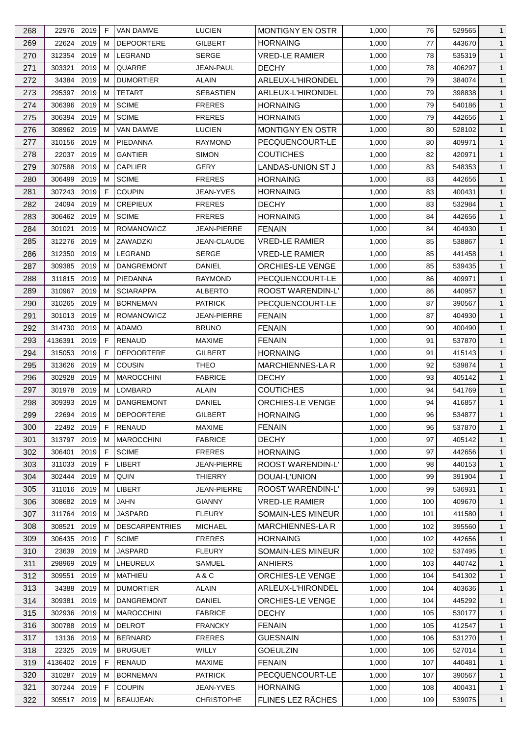| 268 | 22976 2019   |      | F  | <b>VAN DAMME</b>      | <b>LUCIEN</b>      | <b>MONTIGNY EN OSTR</b>  | 1,000 | 76  | 529565 | $\mathbf{1}$ |
|-----|--------------|------|----|-----------------------|--------------------|--------------------------|-------|-----|--------|--------------|
| 269 | 22624 2019   |      | м  | <b>DEPOORTERE</b>     | GILBERT            | <b>HORNAING</b>          | 1,000 | 77  | 443670 | $\mathbf{1}$ |
| 270 | 312354       | 2019 | м  | LEGRAND               | <b>SERGE</b>       | <b>VRED-LE RAMIER</b>    | 1,000 | 78  | 535319 | $\mathbf{1}$ |
| 271 | 303321       | 2019 | м  | QUARRE                | <b>JEAN-PAUL</b>   | <b>DECHY</b>             | 1,000 | 78  | 406297 | $\mathbf{1}$ |
| 272 | 34384 2019   |      | м  | <b>DUMORTIER</b>      | ALAIN              | ARLEUX-L'HIRONDEL        | 1,000 | 79  | 384074 | $\mathbf{1}$ |
| 273 | 295397       | 2019 | м  | <b>TETART</b>         | <b>SEBASTIEN</b>   | ARLEUX-L'HIRONDEL        | 1,000 | 79  | 398838 | $\mathbf{1}$ |
| 274 | 306396       | 2019 | м  | <b>SCIME</b>          | <b>FRERES</b>      | <b>HORNAING</b>          | 1,000 | 79  | 540186 | $\mathbf{1}$ |
| 275 | 306394 2019  |      | м  | <b>SCIME</b>          | <b>FRERES</b>      | <b>HORNAING</b>          | 1,000 | 79  | 442656 | $\mathbf{1}$ |
| 276 | 308962 2019  |      | M  | VAN DAMME             | <b>LUCIEN</b>      | <b>MONTIGNY EN OSTR</b>  | 1,000 | 80  | 528102 | $\mathbf{1}$ |
| 277 | 310156       | 2019 | м  | PIEDANNA              | <b>RAYMOND</b>     | PECQUENCOURT-LE          | 1,000 | 80  | 409971 | $\mathbf{1}$ |
| 278 | 22037 2019   |      | м  | <b>GANTIER</b>        | <b>SIMON</b>       | <b>COUTICHES</b>         | 1,000 | 82  | 420971 | $\mathbf{1}$ |
| 279 | 307588       | 2019 | м  | <b>CAPLIER</b>        | GERY               | <b>LANDAS-UNION ST J</b> | 1,000 | 83  | 548353 | $\mathbf{1}$ |
| 280 | 306499       | 2019 | м  | <b>SCIME</b>          | <b>FRERES</b>      | <b>HORNAING</b>          | 1,000 | 83  | 442656 | $\mathbf{1}$ |
| 281 | 307243       | 2019 | F  | <b>COUPIN</b>         | <b>JEAN-YVES</b>   | <b>HORNAING</b>          | 1,000 | 83  | 400431 | $\mathbf{1}$ |
| 282 | 24094 2019   |      | м  | <b>CREPIEUX</b>       | <b>FRERES</b>      | <b>DECHY</b>             | 1,000 | 83  | 532984 | $\mathbf{1}$ |
| 283 | 306462 2019  |      | м  | <b>SCIME</b>          | <b>FRERES</b>      | <b>HORNAING</b>          | 1,000 | 84  | 442656 | $\mathbf{1}$ |
| 284 | 301021       | 2019 | м  | <b>ROMANOWICZ</b>     | <b>JEAN-PIERRE</b> | <b>FENAIN</b>            | 1,000 | 84  | 404930 | $\mathbf{1}$ |
|     |              |      |    |                       |                    |                          |       |     |        |              |
| 285 | 312276 2019  |      | м  | ZAWADZKI              | JEAN-CLAUDE        | <b>VRED-LE RAMIER</b>    | 1,000 | 85  | 538867 | $\mathbf{1}$ |
| 286 | 312350 2019  |      | м  | LEGRAND               | <b>SERGE</b>       | <b>VRED-LE RAMIER</b>    | 1,000 | 85  | 441458 | $\mathbf{1}$ |
| 287 | 309385       | 2019 | M  | <b>DANGREMONT</b>     | <b>DANIEL</b>      | ORCHIES-LE VENGE         | 1,000 | 85  | 539435 | $\mathbf{1}$ |
| 288 | 311815       | 2019 | м  | PIEDANNA              | <b>RAYMOND</b>     | PECQUENCOURT-LE          | 1,000 | 86  | 409971 | $\mathbf{1}$ |
| 289 | 310967       | 2019 | м  | <b>SCIARAPPA</b>      | <b>ALBERTO</b>     | ROOST WARENDIN-L'        | 1,000 | 86  | 440957 | $\mathbf{1}$ |
| 290 | 310265       | 2019 | м  | <b>BORNEMAN</b>       | <b>PATRICK</b>     | PECQUENCOURT-LE          | 1,000 | 87  | 390567 | $\mathbf{1}$ |
| 291 | 301013 2019  |      | м  | ROMANOWICZ            | JEAN-PIERRE        | <b>FENAIN</b>            | 1,000 | 87  | 404930 | $\mathbf{1}$ |
| 292 | 314730       | 2019 | м  | <b>ADAMO</b>          | <b>BRUNO</b>       | <b>FENAIN</b>            | 1,000 | 90  | 400490 | $\mathbf{1}$ |
| 293 | 4136391      | 2019 | F  | RENAUD                | <b>MAXIME</b>      | <b>FENAIN</b>            | 1,000 | 91  | 537870 | $\mathbf{1}$ |
| 294 | 315053       | 2019 | F  | <b>DEPOORTERE</b>     | GILBERT            | <b>HORNAING</b>          | 1,000 | 91  | 415143 | $\mathbf{1}$ |
| 295 | 313626       | 2019 | м  | <b>COUSIN</b>         | <b>THEO</b>        | <b>MARCHIENNES-LAR</b>   | 1,000 | 92  | 539874 | $\mathbf{1}$ |
| 296 | 302928       | 2019 | м  | <b>MAROCCHINI</b>     | <b>FABRICE</b>     | <b>DECHY</b>             | 1,000 | 93  | 405142 | $\mathbf{1}$ |
| 297 | 301978 2019  |      | м  | LOMBARD               | <b>ALAIN</b>       | <b>COUTICHES</b>         | 1,000 | 94  | 541769 | $\mathbf{1}$ |
| 298 | 309393 2019  |      | M  | <b>DANGREMONT</b>     | DANIEL             | ORCHIES-LE VENGE         | 1,000 | 94  | 416857 | $\mathbf{1}$ |
| 299 | 22694 2019 M |      |    | DEPOORTERE            | <b>GILBERT</b>     | <b>HORNAING</b>          | 1,000 | 96  | 534877 | $\mathbf{1}$ |
| 300 | 22492 2019   |      | F  | <b>RENAUD</b>         | <b>MAXIME</b>      | <b>FENAIN</b>            | 1,000 | 96  | 537870 | $\mathbf{1}$ |
| 301 | 313797 2019  |      | м  | <b>MAROCCHINI</b>     | <b>FABRICE</b>     | <b>DECHY</b>             | 1,000 | 97  | 405142 | $\mathbf{1}$ |
| 302 | 306401       | 2019 | F  | <b>SCIME</b>          | <b>FRERES</b>      | <b>HORNAING</b>          | 1,000 | 97  | 442656 | $\mathbf{1}$ |
| 303 | 311033       | 2019 | F. | LIBERT                | JEAN-PIERRE        | <b>ROOST WARENDIN-L'</b> | 1,000 | 98  | 440153 | $\mathbf{1}$ |
| 304 | 302444 2019  |      | м  | QUIN                  | THIERRY            | DOUAI-L'UNION            | 1,000 | 99  | 391904 | $\mathbf{1}$ |
| 305 | 311016 2019  |      | м  | LIBERT                | <b>JEAN-PIERRE</b> | ROOST WARENDIN-L'        | 1,000 | 99  | 536931 | $\mathbf{1}$ |
| 306 | 308682 2019  |      | м  | <b>JAHN</b>           | <b>GIANNY</b>      | <b>VRED-LE RAMIER</b>    | 1,000 | 100 | 409670 | $\mathbf{1}$ |
| 307 | 311764       | 2019 | м  | <b>JASPARD</b>        | <b>FLEURY</b>      | SOMAIN-LES MINEUR        | 1,000 | 101 | 411580 | $\mathbf{1}$ |
|     | 308521       |      |    |                       |                    | <b>MARCHIENNES-LA R</b>  |       |     |        |              |
| 308 |              | 2019 | м  | <b>DESCARPENTRIES</b> | <b>MICHAEL</b>     |                          | 1,000 | 102 | 395560 | $\mathbf{1}$ |
| 309 | 306435 2019  |      | F  | <b>SCIME</b>          | <b>FRERES</b>      | <b>HORNAING</b>          | 1,000 | 102 | 442656 | $\mathbf{1}$ |
| 310 | 23639        | 2019 | м  | <b>JASPARD</b>        | <b>FLEURY</b>      | SOMAIN-LES MINEUR        | 1,000 | 102 | 537495 | $\mathbf{1}$ |
| 311 | 298969       | 2019 | м  | LHEUREUX              | <b>SAMUEL</b>      | <b>ANHIERS</b>           | 1,000 | 103 | 440742 | $\mathbf{1}$ |
| 312 | 309551       | 2019 | м  | MATHIEU               | A&C                | ORCHIES-LE VENGE         | 1,000 | 104 | 541302 | $\mathbf{1}$ |
| 313 | 34388        | 2019 | м  | <b>DUMORTIER</b>      | ALAIN              | ARLEUX-L'HIRONDEL        | 1,000 | 104 | 403636 | $\mathbf{1}$ |
| 314 | 309381       | 2019 | м  | <b>DANGREMONT</b>     | DANIEL             | ORCHIES-LE VENGE         | 1,000 | 104 | 445292 | $\mathbf{1}$ |
| 315 | 302936       | 2019 | м  | <b>MAROCCHINI</b>     | <b>FABRICE</b>     | <b>DECHY</b>             | 1,000 | 105 | 530177 | $\mathbf{1}$ |
| 316 | 300788 2019  |      | м  | <b>DELROT</b>         | <b>FRANCKY</b>     | <b>FENAIN</b>            | 1,000 | 105 | 412547 | $\mathbf{1}$ |
| 317 | 13136 2019   |      | м  | <b>BERNARD</b>        | <b>FRERES</b>      | <b>GUESNAIN</b>          | 1,000 | 106 | 531270 | $\mathbf{1}$ |
| 318 | 22325 2019   |      | м  | <b>BRUGUET</b>        | WILLY              | <b>GOEULZIN</b>          | 1,000 | 106 | 527014 | $\mathbf{1}$ |
| 319 | 4136402 2019 |      | F. | RENAUD                | <b>MAXIME</b>      | <b>FENAIN</b>            | 1,000 | 107 | 440481 | $\mathbf{1}$ |
| 320 | 310287 2019  |      | M  | <b>BORNEMAN</b>       | <b>PATRICK</b>     | PECQUENCOURT-LE          | 1,000 | 107 | 390567 | $\mathbf{1}$ |
| 321 | 307244 2019  |      | F  | <b>COUPIN</b>         | JEAN-YVES          | <b>HORNAING</b>          | 1,000 | 108 | 400431 | $\mathbf{1}$ |
| 322 | 305517 2019  |      | М  | <b>BEAUJEAN</b>       | <b>CHRISTOPHE</b>  | FLINES LEZ RÂCHES        | 1,000 | 109 | 539075 | $\mathbf{1}$ |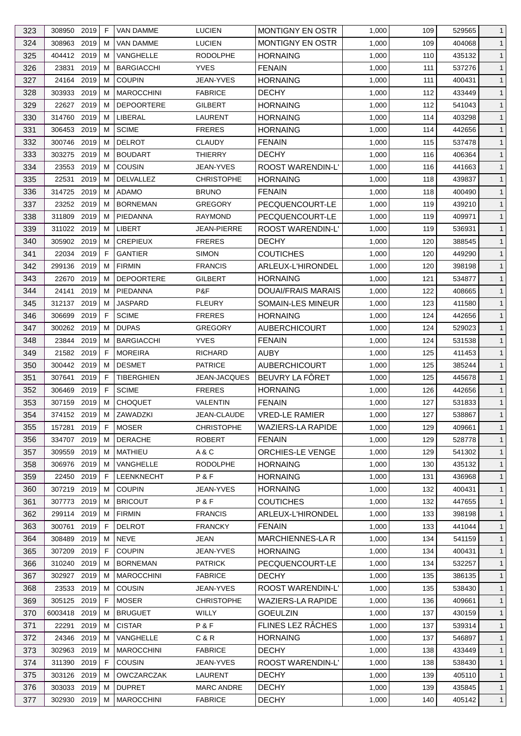| 323        | 308950 2019  |      | F  | <b>VAN DAMME</b>              | <b>LUCIEN</b>                  | MONTIGNY EN OSTR          | 1,000 | 109        | 529565           | 1                            |
|------------|--------------|------|----|-------------------------------|--------------------------------|---------------------------|-------|------------|------------------|------------------------------|
| 324        | 308963       | 2019 | м  | <b>VAN DAMME</b>              | <b>LUCIEN</b>                  | <b>MONTIGNY EN OSTR</b>   | 1,000 | 109        | 404068           | $\mathbf{1}$                 |
| 325        | 404412 2019  |      | м  | VANGHELLE                     | <b>RODOLPHE</b>                | <b>HORNAING</b>           | 1,000 | 110        | 435132           | $\mathbf{1}$                 |
| 326        | 23831        | 2019 | м  | <b>BARGIACCHI</b>             | <b>YVES</b>                    | <b>FENAIN</b>             | 1,000 | 111        | 537276           | $\mathbf{1}$                 |
| 327        | 24164        | 2019 | м  | <b>COUPIN</b>                 | JEAN-YVES                      | <b>HORNAING</b>           | 1,000 | 111        | 400431           | $\mathbf{1}$                 |
| 328        | 303933       | 2019 | м  | <b>MAROCCHINI</b>             | <b>FABRICE</b>                 | <b>DECHY</b>              | 1,000 | 112        | 433449           | $\mathbf{1}$                 |
| 329        | 22627 2019   |      | м  | <b>DEPOORTERE</b>             | <b>GILBERT</b>                 | <b>HORNAING</b>           | 1,000 | 112        | 541043           | $\mathbf{1}$                 |
| 330        | 314760 2019  |      | м  | LIBERAL                       | LAURENT                        | <b>HORNAING</b>           | 1,000 | 114        | 403298           | $\mathbf{1}$                 |
| 331        | 306453       | 2019 | м  | <b>SCIME</b>                  | <b>FRERES</b>                  | <b>HORNAING</b>           | 1,000 | 114        | 442656           | $\mathbf{1}$                 |
| 332        | 300746       | 2019 | м  | <b>DELROT</b>                 | <b>CLAUDY</b>                  | <b>FENAIN</b>             | 1,000 | 115        | 537478           | $\mathbf{1}$                 |
| 333        | 303275       | 2019 | м  | <b>BOUDART</b>                | <b>THIERRY</b>                 | <b>DECHY</b>              | 1,000 | 116        | 406364           | $\mathbf{1}$                 |
| 334        | 23553        | 2019 | м  | <b>COUSIN</b>                 | <b>JEAN-YVES</b>               | <b>ROOST WARENDIN-L'</b>  | 1,000 | 116        | 441663           | $\mathbf{1}$                 |
| 335        | 22531        | 2019 | м  | DELVALLEZ                     | <b>CHRISTOPHE</b>              | HORNAING                  | 1,000 | 118        | 439837           | $\mathbf{1}$                 |
| 336        | 314725       | 2019 | м  | <b>ADAMO</b>                  | <b>BRUNO</b>                   | <b>FENAIN</b>             | 1,000 | 118        | 400490           | $\mathbf{1}$                 |
| 337        | 23252 2019   |      | м  | <b>BORNEMAN</b>               | <b>GREGORY</b>                 | PECQUENCOURT-LE           | 1,000 | 119        | 439210           | $\mathbf{1}$                 |
| 338        | 311809       | 2019 | м  | PIEDANNA                      | <b>RAYMOND</b>                 | PECQUENCOURT-LE           | 1,000 | 119        | 409971           | $\mathbf{1}$                 |
| 339        | 311022 2019  |      | м  | LIBERT                        | <b>JEAN-PIERRE</b>             | ROOST WARENDIN-L'         | 1,000 | 119        | 536931           | $\mathbf{1}$                 |
| 340        | 305902 2019  |      | м  | <b>CREPIEUX</b>               | <b>FRERES</b>                  | <b>DECHY</b>              | 1,000 | 120        | 388545           | $\mathbf{1}$                 |
| 341        | 22034 2019   |      | F  | <b>GANTIER</b>                | <b>SIMON</b>                   | <b>COUTICHES</b>          | 1,000 | 120        | 449290           | $\mathbf{1}$                 |
| 342        | 299136       | 2019 | м  | <b>FIRMIN</b>                 | <b>FRANCIS</b>                 | ARLEUX-L'HIRONDEL         | 1,000 | 120        | 398198           | $\mathbf{1}$                 |
| 343        | 22670        | 2019 | м  | <b>DEPOORTERE</b>             | <b>GILBERT</b>                 | HORNAING                  | 1,000 | 121        | 534877           | $\mathbf{1}$                 |
| 344        | 24141        | 2019 | м  | PIEDANNA                      | P&F                            | <b>DOUAI/FRAIS MARAIS</b> | 1,000 | 122        | 408665           | $\mathbf{1}$                 |
| 345        | 312137 2019  |      | м  | <b>JASPARD</b>                | <b>FLEURY</b>                  | SOMAIN-LES MINEUR         | 1,000 | 123        | 411580           | $\mathbf{1}$                 |
| 346        | 306699       | 2019 | F  | <b>SCIME</b>                  | <b>FRERES</b>                  | <b>HORNAING</b>           | 1,000 | 124        | 442656           | $\mathbf{1}$                 |
| 347        | 300262       | 2019 | м  | <b>DUPAS</b>                  | <b>GREGORY</b>                 | <b>AUBERCHICOURT</b>      | 1,000 | 124        | 529023           | $\mathbf{1}$                 |
| 348        | 23844 2019   |      | м  | <b>BARGIACCHI</b>             | <b>YVES</b>                    | <b>FENAIN</b>             | 1,000 | 124        | 531538           | $\mathbf{1}$                 |
| 349        | 21582 2019   |      | F  | <b>MOREIRA</b>                | <b>RICHARD</b>                 | <b>AUBY</b>               | 1,000 | 125        | 411453           | $\mathbf{1}$                 |
| 350        | 300442 2019  |      | м  | <b>DESMET</b>                 | <b>PATRICE</b>                 | <b>AUBERCHICOURT</b>      | 1,000 | 125        | 385244           | $\mathbf{1}$                 |
| 351        | 307641       | 2019 | F  | <b>TIBERGHIEN</b>             | <b>JEAN-JACQUES</b>            | BEUVRY LA FÔRET           | 1,000 | 125        | 445678           | $\mathbf{1}$                 |
| 352        | 306469       | 2019 | F  | <b>SCIME</b>                  | <b>FRERES</b>                  | <b>HORNAING</b>           | 1,000 | 126        | 442656           | $\mathbf{1}$                 |
| 353        | 307159       | 2019 | м  | <b>CHOQUET</b>                | <b>VALENTIN</b>                | <b>FENAIN</b>             | 1,000 | 127        | 531833           | $\mathbf{1}$                 |
| 354        | 374152 2019  |      | M  | ZAWADZKI                      | JEAN-CLAUDE                    | <b>VRED-LE RAMIER</b>     | 1,000 | 127        | 538867           | $\mathbf{1}$                 |
| 355        | 157281 2019  |      | F  | <b>MOSER</b>                  | <b>CHRISTOPHE</b>              | <b>WAZIERS-LA RAPIDE</b>  | 1,000 | 129        | 409661           | $\mathbf{1}$                 |
| 356        | 334707       | 2019 | м  | <b>DERACHE</b>                | <b>ROBERT</b>                  | <b>FENAIN</b>             | 1,000 | 129        | 528778           | $\mathbf{1}$                 |
| 357        | 309559       | 2019 | м  | MATHIEU                       | A & C                          | ORCHIES-LE VENGE          | 1,000 | 129        | 541302           | $\mathbf{1}$                 |
| 358        | 306976       | 2019 | м  | VANGHELLE                     | <b>RODOLPHE</b>                | <b>HORNAING</b>           | 1,000 | 130        | 435132           | $\mathbf{1}$                 |
| 359        | 22450 2019   |      | F. | <b>LEENKNECHT</b>             | P&F                            | <b>HORNAING</b>           | 1,000 | 131        | 436968           | $\mathbf{1}$                 |
| 360        | 307219 2019  |      | м  | <b>COUPIN</b>                 | JEAN-YVES                      | <b>HORNAING</b>           | 1,000 | 132        | 400431           | $\mathbf{1}$                 |
| 361        | 307773       | 2019 | м  | <b>BRICOUT</b>                | P & F                          | <b>COUTICHES</b>          | 1,000 | 132        | 447655           | $\mathbf{1}$                 |
| 362        | 299114 2019  |      | м  | <b>FIRMIN</b>                 | <b>FRANCIS</b>                 | ARLEUX-L'HIRONDEL         | 1,000 | 133        | 398198           | $\mathbf{1}$                 |
| 363        | 300761       | 2019 | F  | <b>DELROT</b>                 | <b>FRANCKY</b>                 | <b>FENAIN</b>             | 1,000 | 133        | 441044           | $\mathbf{1}$                 |
| 364        | 308489       | 2019 | м  | <b>NEVE</b>                   | <b>JEAN</b>                    | MARCHIENNES-LA R          | 1,000 | 134        | 541159           | $\mathbf{1}$                 |
| 365        | 307209       | 2019 | F  | <b>COUPIN</b>                 | JEAN-YVES                      | HORNAING                  | 1,000 | 134        | 400431           | $\mathbf{1}$                 |
|            | 310240       | 2019 | м  | <b>BORNEMAN</b>               | <b>PATRICK</b>                 | PECQUENCOURT-LE           | 1,000 |            |                  |                              |
| 366<br>367 | 302927       | 2019 | м  | <b>MAROCCHINI</b>             | <b>FABRICE</b>                 | <b>DECHY</b>              | 1,000 | 134<br>135 | 532257<br>386135 | $\mathbf{1}$<br>$\mathbf{1}$ |
|            |              |      |    |                               |                                | <b>ROOST WARENDIN-L'</b>  |       |            |                  |                              |
| 368        | 23533        | 2019 | м  | <b>COUSIN</b><br><b>MOSER</b> | JEAN-YVES<br><b>CHRISTOPHE</b> |                           | 1,000 | 135        | 538430           | $\mathbf{1}$                 |
| 369        | 305125       | 2019 | F. |                               |                                | <b>WAZIERS-LA RAPIDE</b>  | 1,000 | 136        | 409661           | $\mathbf{1}$                 |
| 370        | 6003418 2019 |      | м  | <b>BRUGUET</b>                | WILLY                          | <b>GOEULZIN</b>           | 1,000 | 137        | 430159           | $\mathbf{1}$                 |
| 371        | 22291        | 2019 | м  | <b>CISTAR</b>                 | P&F                            | FLINES LEZ RÂCHES         | 1,000 | 137        | 539314           | $\mathbf{1}$                 |
| 372        | 24346        | 2019 | м  | VANGHELLE                     | C & R                          | <b>HORNAING</b>           | 1,000 | 137        | 546897           | $\mathbf{1}$                 |
| 373        | 302963 2019  |      | м  | <b>MAROCCHINI</b>             | <b>FABRICE</b>                 | <b>DECHY</b>              | 1,000 | 138        | 433449           | $\mathbf{1}$                 |
| 374        | 311390 2019  |      | F  | COUSIN                        | JEAN-YVES                      | ROOST WARENDIN-L'         | 1,000 | 138        | 538430           | $\mathbf{1}$                 |
| 375        | 303126 2019  |      | м  | OWCZARCZAK                    | LAURENT                        | <b>DECHY</b>              | 1,000 | 139        | 405110           | $\mathbf{1}$                 |
| 376        | 303033 2019  |      | м  | <b>DUPRET</b>                 | <b>MARC ANDRE</b>              | <b>DECHY</b>              | 1,000 | 139        | 435845           | $\mathbf{1}$                 |
| 377        | 302930 2019  |      | м  | <b>MAROCCHINI</b>             | <b>FABRICE</b>                 | <b>DECHY</b>              | 1,000 | 140        | 405142           | $\overline{1}$               |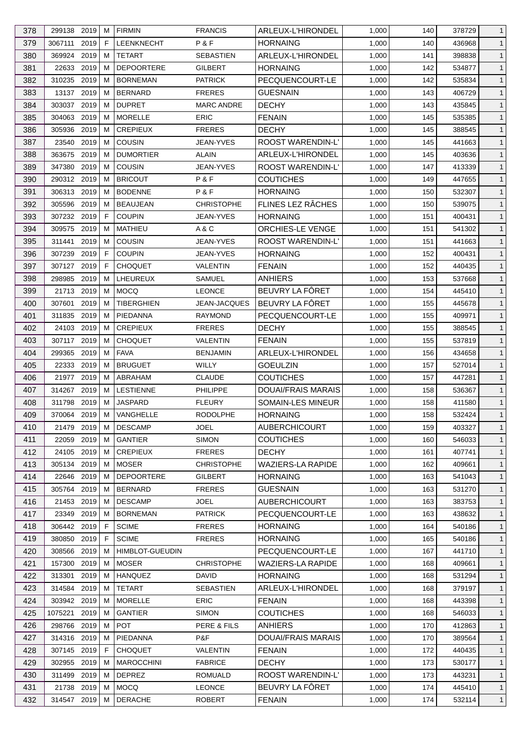| 378 | 299138 2019      |      | м  | <b>FIRMIN</b>                  | <b>FRANCIS</b>      | ARLEUX-L'HIRONDEL         | 1,000 | 140 | 378729 | $\mathbf{1}$   |
|-----|------------------|------|----|--------------------------------|---------------------|---------------------------|-------|-----|--------|----------------|
| 379 | 3067111          | 2019 | F  | <b>LEENKNECHT</b>              | P&F                 | <b>HORNAING</b>           | 1,000 | 140 | 436968 | $\mathbf{1}$   |
| 380 | 369924           | 2019 | м  | <b>TETART</b>                  | <b>SEBASTIEN</b>    | ARLEUX-L'HIRONDEL         | 1,000 | 141 | 398838 | $\mathbf{1}$   |
| 381 | 22633            | 2019 | м  | <b>DEPOORTERE</b>              | <b>GILBERT</b>      | <b>HORNAING</b>           | 1,000 | 142 | 534877 | $\mathbf{1}$   |
| 382 | 310235           | 2019 | м  | <b>BORNEMAN</b>                | <b>PATRICK</b>      | PECQUENCOURT-LE           | 1,000 | 142 | 535834 | $\mathbf{1}$   |
| 383 | 13137            | 2019 | м  | <b>BERNARD</b>                 | <b>FRERES</b>       | <b>GUESNAIN</b>           | 1,000 | 143 | 406729 | $\mathbf{1}$   |
| 384 | 303037 2019      |      | м  | <b>DUPRET</b>                  | <b>MARC ANDRE</b>   | <b>DECHY</b>              | 1,000 | 143 | 435845 | $\mathbf{1}$   |
| 385 | 304063           | 2019 | м  | <b>MORELLE</b>                 | <b>ERIC</b>         | <b>FENAIN</b>             | 1,000 | 145 | 535385 | $\mathbf{1}$   |
| 386 | 305936           | 2019 | м  | <b>CREPIEUX</b>                | <b>FRERES</b>       | <b>DECHY</b>              | 1,000 | 145 | 388545 | $\mathbf{1}$   |
| 387 | 23540            | 2019 | м  | <b>COUSIN</b>                  | <b>JEAN-YVES</b>    | <b>ROOST WARENDIN-L'</b>  | 1,000 | 145 | 441663 | $\mathbf{1}$   |
| 388 | 363675           | 2019 | м  | <b>DUMORTIER</b>               | <b>ALAIN</b>        | ARLEUX-L'HIRONDEL         | 1,000 | 145 | 403636 | $\mathbf{1}$   |
| 389 | 347380           | 2019 | м  | <b>COUSIN</b>                  | JEAN-YVES           | <b>ROOST WARENDIN-L'</b>  | 1,000 | 147 | 413339 | $\mathbf{1}$   |
| 390 | 290312 2019      |      | м  | <b>BRICOUT</b>                 | P&F                 | <b>COUTICHES</b>          | 1,000 | 149 | 447655 | $\mathbf{1}$   |
| 391 | 306313 2019      |      | м  | <b>BODENNE</b>                 | P & F               | <b>HORNAING</b>           | 1,000 | 150 | 532307 | $\mathbf{1}$   |
| 392 | 305596           | 2019 | м  | <b>BEAUJEAN</b>                | <b>CHRISTOPHE</b>   | FLINES LEZ RÂCHES         | 1,000 | 150 | 539075 | $\mathbf{1}$   |
| 393 | 307232 2019      |      | F  | <b>COUPIN</b>                  | <b>JEAN-YVES</b>    | <b>HORNAING</b>           | 1,000 | 151 | 400431 | $\mathbf{1}$   |
| 394 | 309575           | 2019 | м  | <b>MATHIEU</b>                 | A&C                 | <b>ORCHIES-LE VENGE</b>   | 1,000 | 151 | 541302 | $\mathbf{1}$   |
|     |                  |      |    |                                |                     |                           |       |     |        |                |
| 395 | 311441<br>307239 | 2019 | м  | <b>COUSIN</b><br><b>COUPIN</b> | <b>JEAN-YVES</b>    | ROOST WARENDIN-L'         | 1,000 | 151 | 441663 | $\mathbf{1}$   |
| 396 |                  | 2019 | F  |                                | <b>JEAN-YVES</b>    | <b>HORNAING</b>           | 1,000 | 152 | 400431 | $\mathbf{1}$   |
| 397 | 307127 2019      |      | F  | <b>CHOQUET</b>                 | VALENTIN            | <b>FENAIN</b>             | 1,000 | 152 | 440435 | $\mathbf{1}$   |
| 398 | 298985           | 2019 | м  | LHEUREUX                       | SAMUEL              | <b>ANHIERS</b>            | 1,000 | 153 | 537668 | $\mathbf{1}$   |
| 399 | 21713            | 2019 | м  | <b>MOCQ</b>                    | <b>LEONCE</b>       | BEUVRY LA FÔRET           | 1,000 | 154 | 445410 | $\mathbf{1}$   |
| 400 | 307601           | 2019 | м  | <b>TIBERGHIEN</b>              | <b>JEAN-JACQUES</b> | BEUVRY LA FÔRET           | 1,000 | 155 | 445678 | $\mathbf{1}$   |
| 401 | 311835           | 2019 | м  | PIEDANNA                       | <b>RAYMOND</b>      | PECQUENCOURT-LE           | 1,000 | 155 | 409971 | $\mathbf{1}$   |
| 402 | 24103            | 2019 | M  | <b>CREPIEUX</b>                | <b>FRERES</b>       | <b>DECHY</b>              | 1,000 | 155 | 388545 | $\mathbf{1}$   |
| 403 | 307117 2019      |      | м  | <b>CHOQUET</b>                 | VALENTIN            | <b>FENAIN</b>             | 1,000 | 155 | 537819 | $\mathbf{1}$   |
| 404 | 299365           | 2019 | м  | <b>FAVA</b>                    | <b>BENJAMIN</b>     | ARLEUX-L'HIRONDEL         | 1,000 | 156 | 434658 | $\mathbf{1}$   |
| 405 | 22333            | 2019 | м  | <b>BRUGUET</b>                 | <b>WILLY</b>        | <b>GOEULZIN</b>           | 1,000 | 157 | 527014 | $\mathbf{1}$   |
| 406 | 21977 2019       |      | м  | ABRAHAM                        | <b>CLAUDE</b>       | <b>COUTICHES</b>          | 1,000 | 157 | 447281 | $\mathbf{1}$   |
| 407 | 314267 2019      |      | м  | <b>LESTIENNE</b>               | <b>PHILIPPE</b>     | <b>DOUAI/FRAIS MARAIS</b> | 1,000 | 158 | 536367 | $\mathbf{1}$   |
| 408 | 311798 2019      |      | M  | <b>JASPARD</b>                 | <b>FLEURY</b>       | <b>SOMAIN-LES MINEUR</b>  | 1,000 | 158 | 411580 | $\mathbf{1}$   |
| 409 | 370064 2019 M    |      |    | VANGHELLE                      | <b>RODOLPHE</b>     | <b>HORNAING</b>           | 1,000 | 158 | 532424 | $\overline{1}$ |
| 410 | 21479 2019       |      | М  | <b>DESCAMP</b>                 | <b>JOEL</b>         | <b>AUBERCHICOURT</b>      | 1,000 | 159 | 403327 | $\mathbf{1}$   |
| 411 | 22059            | 2019 | м  | <b>GANTIER</b>                 | <b>SIMON</b>        | <b>COUTICHES</b>          | 1,000 | 160 | 546033 | $\mathbf{1}$   |
| 412 | 24105 2019       |      | м  | <b>CREPIEUX</b>                | <b>FRERES</b>       | <b>DECHY</b>              | 1,000 | 161 | 407741 | $\mathbf{1}$   |
| 413 | 305134 2019      |      | M  | <b>MOSER</b>                   | <b>CHRISTOPHE</b>   | <b>WAZIERS-LA RAPIDE</b>  | 1,000 | 162 | 409661 | $\mathbf{1}$   |
| 414 | 22646 2019       |      | м  | <b>DEPOORTERE</b>              | <b>GILBERT</b>      | <b>HORNAING</b>           | 1,000 | 163 | 541043 | $\mathbf{1}$   |
| 415 | 305764 2019      |      | м  | <b>BERNARD</b>                 | <b>FRERES</b>       | <b>GUESNAIN</b>           | 1,000 | 163 | 531270 | $\mathbf{1}$   |
| 416 | 21453 2019       |      | м  | <b>DESCAMP</b>                 | <b>JOEL</b>         | <b>AUBERCHICOURT</b>      | 1,000 | 163 | 383753 | $\mathbf{1}$   |
| 417 | 23349 2019       |      | м  | <b>BORNEMAN</b>                | <b>PATRICK</b>      | PECQUENCOURT-LE           | 1,000 | 163 | 438632 | $\mathbf{1}$   |
| 418 | 306442 2019      |      | F. | <b>SCIME</b>                   | <b>FRERES</b>       | <b>HORNAING</b>           | 1,000 | 164 | 540186 | $\mathbf{1}$   |
| 419 | 380850 2019      |      | F  | <b>SCIME</b>                   | <b>FRERES</b>       | <b>HORNAING</b>           | 1,000 | 165 | 540186 | $\mathbf{1}$   |
| 420 | 308566           | 2019 | м  | <b>HIMBLOT-GUEUDIN</b>         |                     | PECQUENCOURT-LE           | 1,000 | 167 | 441710 | $\mathbf{1}$   |
| 421 | 157300           | 2019 | м  | <b>MOSER</b>                   | <b>CHRISTOPHE</b>   | <b>WAZIERS-LA RAPIDE</b>  | 1,000 | 168 | 409661 | $\mathbf{1}$   |
| 422 | 313301           | 2019 | м  | <b>HANQUEZ</b>                 | DAVID               | <b>HORNAING</b>           | 1,000 | 168 | 531294 | $\mathbf{1}$   |
| 423 | 314584 2019      |      | м  | <b>TETART</b>                  | <b>SEBASTIEN</b>    | ARLEUX-L'HIRONDEL         | 1,000 | 168 | 379197 | $\mathbf{1}$   |
| 424 | 303942 2019      |      | M  | <b>MORELLE</b>                 | <b>ERIC</b>         | <b>FENAIN</b>             | 1,000 | 168 | 443398 | $\mathbf{1}$   |
| 425 | 1075221          | 2019 | м  | <b>GANTIER</b>                 | <b>SIMON</b>        | <b>COUTICHES</b>          | 1,000 | 168 | 546033 | $\mathbf{1}$   |
| 426 | 298766 2019      |      | м  | <b>POT</b>                     | PERE & FILS         | <b>ANHIERS</b>            | 1,000 | 170 | 412863 | $\mathbf{1}$   |
| 427 | 314316 2019      |      | M  | PIEDANNA                       | P&F                 | <b>DOUAI/FRAIS MARAIS</b> | 1,000 | 170 | 389564 | $\mathbf{1}$   |
| 428 | 307145 2019      |      | F  | <b>CHOQUET</b>                 | <b>VALENTIN</b>     | <b>FENAIN</b>             | 1,000 | 172 | 440435 | $\mathbf{1}$   |
| 429 | 302955 2019      |      | м  | <b>MAROCCHINI</b>              | <b>FABRICE</b>      | <b>DECHY</b>              | 1,000 | 173 | 530177 | $\mathbf{1}$   |
| 430 | 311499 2019      |      | м  | <b>DEPREZ</b>                  | <b>ROMUALD</b>      | ROOST WARENDIN-L'         | 1,000 | 173 | 443231 | $\mathbf{1}$   |
| 431 | 21738 2019       |      | м  | <b>MOCQ</b>                    | <b>LEONCE</b>       | BEUVRY LA FÖRET           | 1,000 | 174 | 445410 | $\mathbf{1}$   |
| 432 | 314547 2019      |      | М  | <b>DERACHE</b>                 | <b>ROBERT</b>       | <b>FENAIN</b>             | 1,000 | 174 | 532114 | $\mathbf{1}$   |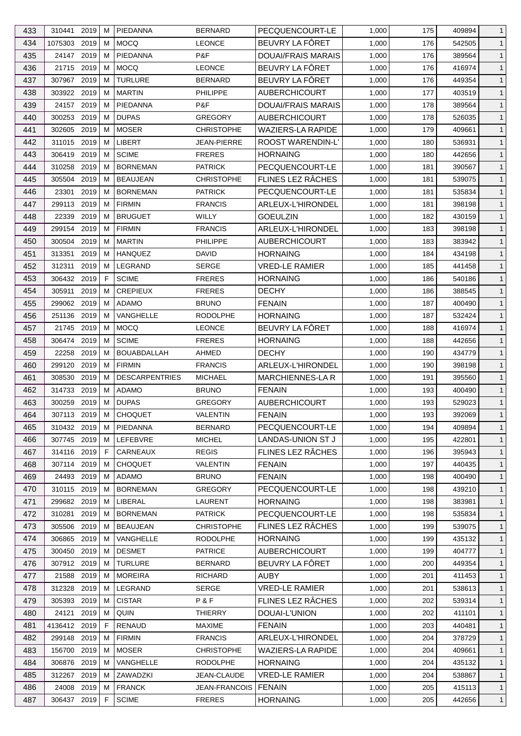| 433 | 310441       | 2019     | м  | PIEDANNA                        | <b>BERNARD</b>       | PECQUENCOURT-LE           | 1,000 | 175 | 409894 | $\mathbf{1}$ |
|-----|--------------|----------|----|---------------------------------|----------------------|---------------------------|-------|-----|--------|--------------|
| 434 | 1075303 2019 |          | м  | <b>MOCQ</b>                     | <b>LEONCE</b>        | BEUVRY LA FÔRET           | 1,000 | 176 | 542505 | $\mathbf{1}$ |
| 435 | 24147        | 2019     | M  | PIEDANNA                        | P&F                  | <b>DOUAI/FRAIS MARAIS</b> | 1,000 | 176 | 389564 | $\mathbf{1}$ |
| 436 | 21715        | 2019     | м  | <b>MOCQ</b>                     | <b>LEONCE</b>        | BEUVRY LA FÔRET           | 1,000 | 176 | 416974 | $\mathbf{1}$ |
| 437 | 307967       | 2019     | м  | <b>TURLURE</b>                  | <b>BERNARD</b>       | BEUVRY LA FÖRET           | 1,000 | 176 | 449354 | $\mathbf{1}$ |
| 438 | 303922 2019  |          | м  | <b>MARTIN</b>                   | <b>PHILIPPE</b>      | <b>AUBERCHICOURT</b>      | 1,000 | 177 | 403519 | $\mathbf{1}$ |
| 439 | 24157 2019   |          | м  | PIEDANNA                        | P&F                  | <b>DOUAI/FRAIS MARAIS</b> | 1,000 | 178 | 389564 | $\mathbf{1}$ |
| 440 | 300253       | 2019     | м  | <b>DUPAS</b>                    | <b>GREGORY</b>       | <b>AUBERCHICOURT</b>      | 1,000 | 178 | 526035 | $\mathbf{1}$ |
| 441 | 302605       | 2019     | м  | <b>MOSER</b>                    | <b>CHRISTOPHE</b>    | <b>WAZIERS-LA RAPIDE</b>  | 1,000 | 179 | 409661 | $\mathbf{1}$ |
| 442 | 311015       | 2019     | м  | LIBERT                          | JEAN-PIERRE          | <b>ROOST WARENDIN-L'</b>  | 1,000 | 180 | 536931 | $\mathbf{1}$ |
| 443 | 306419       | 2019     | м  | <b>SCIME</b>                    | <b>FRERES</b>        | <b>HORNAING</b>           | 1,000 | 180 | 442656 | $\mathbf{1}$ |
| 444 | 310258       | 2019     | м  | <b>BORNEMAN</b>                 | <b>PATRICK</b>       | PECQUENCOURT-LE           | 1,000 | 181 | 390567 | $\mathbf{1}$ |
| 445 | 305504       | 2019     | м  | <b>BEAUJEAN</b>                 | <b>CHRISTOPHE</b>    | FLINES LEZ RÂCHES         | 1,000 | 181 | 539075 | $\mathbf{1}$ |
| 446 | 23301        | 2019     | M  | <b>BORNEMAN</b>                 | <b>PATRICK</b>       | PECQUENCOURT-LE           | 1,000 | 181 | 535834 | $\mathbf{1}$ |
| 447 | 299113       | 2019     | м  | <b>FIRMIN</b>                   | <b>FRANCIS</b>       | ARLEUX-L'HIRONDEL         | 1,000 | 181 | 398198 | $\mathbf{1}$ |
| 448 | 22339        | 2019     | м  | <b>BRUGUET</b>                  | WILLY                | <b>GOEULZIN</b>           | 1,000 | 182 | 430159 | $\mathbf{1}$ |
| 449 | 299154       | 2019     | M  | <b>FIRMIN</b>                   | <b>FRANCIS</b>       | ARLEUX-L'HIRONDEL         | 1,000 | 183 | 398198 | $\mathbf{1}$ |
|     |              | 2019     |    |                                 |                      |                           |       |     |        |              |
| 450 | 300504       |          | м  | <b>MARTIN</b><br><b>HANQUEZ</b> | <b>PHILIPPE</b>      | AUBERCHICOURT             | 1,000 | 183 | 383942 | $\mathbf{1}$ |
| 451 | 313351       | 2019     | м  |                                 | <b>DAVID</b>         | <b>HORNAING</b>           | 1,000 | 184 | 434198 | $\mathbf{1}$ |
| 452 | 312311       | 2019     | м  | LEGRAND                         | <b>SERGE</b>         | <b>VRED-LE RAMIER</b>     | 1,000 | 185 | 441458 | $\mathbf{1}$ |
| 453 | 306432       | 2019     | F  | <b>SCIME</b>                    | <b>FRERES</b>        | <b>HORNAING</b>           | 1,000 | 186 | 540186 | $\mathbf{1}$ |
| 454 | 305911       | 2019     | м  | <b>CREPIEUX</b>                 | <b>FRERES</b>        | <b>DECHY</b>              | 1,000 | 186 | 388545 | $\mathbf{1}$ |
| 455 | 299062 2019  |          | м  | <b>ADAMO</b>                    | <b>BRUNO</b>         | <b>FENAIN</b>             | 1,000 | 187 | 400490 | $\mathbf{1}$ |
| 456 | 251136 2019  |          | м  | VANGHELLE                       | <b>RODOLPHE</b>      | <b>HORNAING</b>           | 1,000 | 187 | 532424 | $\mathbf{1}$ |
| 457 | 21745        | 2019     | M  | <b>MOCQ</b>                     | <b>LEONCE</b>        | BEUVRY LA FÔRET           | 1,000 | 188 | 416974 | $\mathbf{1}$ |
| 458 | 306474       | 2019     | м  | <b>SCIME</b>                    | <b>FRERES</b>        | <b>HORNAING</b>           | 1,000 | 188 | 442656 | $\mathbf{1}$ |
| 459 | 22258        | 2019     | м  | <b>BOUABDALLAH</b>              | AHMED                | <b>DECHY</b>              | 1,000 | 190 | 434779 | $\mathbf{1}$ |
| 460 | 299120       | 2019     | м  | <b>FIRMIN</b>                   | <b>FRANCIS</b>       | <b>ARLEUX-L'HIRONDEL</b>  | 1,000 | 190 | 398198 | $\mathbf{1}$ |
| 461 | 308530       | 2019     | м  | <b>DESCARPENTRIES</b>           | <b>MICHAEL</b>       | <b>MARCHIENNES-LA R</b>   | 1,000 | 191 | 395560 | $\mathbf{1}$ |
| 462 | 314733       | 2019     | м  | <b>ADAMO</b>                    | <b>BRUNO</b>         | <b>FENAIN</b>             | 1,000 | 193 | 400490 | $\mathbf{1}$ |
| 463 | 300259       | 2019     | M  | <b>DUPAS</b>                    | <b>GREGORY</b>       | <b>AUBERCHICOURT</b>      | 1,000 | 193 | 529023 | $\mathbf{1}$ |
| 464 | 307113       | $2019$ M |    | <b>CHOQUET</b>                  | VALENTIN             | <b>FENAIN</b>             | 1,000 | 193 | 392069 | $\mathbf{1}$ |
| 465 | 310432 2019  |          | М  | PIEDANNA                        | <b>BERNARD</b>       | PECQUENCOURT-LE           | 1,000 | 194 | 409894 | $\mathbf{1}$ |
| 466 | 307745 2019  |          | м  | LEFEBVRE                        | <b>MICHEL</b>        | LANDAS-UNION ST J         | 1,000 | 195 | 422801 | $\mathbf{1}$ |
| 467 | 314116 2019  |          | F  | CARNEAUX                        | <b>REGIS</b>         | FLINES LEZ RÂCHES         | 1,000 | 196 | 395943 | $\mathbf{1}$ |
| 468 | 307114 2019  |          | M  | <b>CHOQUET</b>                  | <b>VALENTIN</b>      | <b>FENAIN</b>             | 1,000 | 197 | 440435 | $\mathbf{1}$ |
| 469 | 24493 2019   |          | м  | ADAMO                           | <b>BRUNO</b>         | <b>FENAIN</b>             | 1,000 | 198 | 400490 | $\mathbf{1}$ |
| 470 | 310115 2019  |          | м  | <b>BORNEMAN</b>                 | <b>GREGORY</b>       | PECQUENCOURT-LE           | 1,000 | 198 | 439210 | $\mathbf{1}$ |
| 471 | 299682 2019  |          | м  | LIBERAL                         | LAURENT              | <b>HORNAING</b>           | 1,000 | 198 | 383981 | $\mathbf{1}$ |
| 472 | 310281       | 2019     | м  | <b>BORNEMAN</b>                 | <b>PATRICK</b>       | PECQUENCOURT-LE           | 1,000 | 198 | 535834 | $\mathbf{1}$ |
| 473 | 305506       | 2019     | м  | <b>BEAUJEAN</b>                 | <b>CHRISTOPHE</b>    | FLINES LEZ RÂCHES         | 1,000 | 199 | 539075 | $\mathbf{1}$ |
| 474 | 306865 2019  |          | м  | VANGHELLE                       | <b>RODOLPHE</b>      | <b>HORNAING</b>           | 1,000 | 199 | 435132 | $\mathbf{1}$ |
| 475 | 300450       | 2019     | м  | <b>DESMET</b>                   | <b>PATRICE</b>       | <b>AUBERCHICOURT</b>      | 1,000 | 199 | 404777 | $\mathbf{1}$ |
| 476 | 307912 2019  |          | м  | <b>TURLURE</b>                  | <b>BERNARD</b>       | BEUVRY LA FÔRET           | 1,000 | 200 | 449354 | $\mathbf{1}$ |
| 477 | 21588        | 2019     | м  | <b>MOREIRA</b>                  | <b>RICHARD</b>       | AUBY                      | 1,000 | 201 | 411453 | $\mathbf{1}$ |
| 478 | 312328 2019  |          | м  | LEGRAND                         | SERGE                | <b>VRED-LE RAMIER</b>     | 1,000 | 201 | 538613 | $\mathbf{1}$ |
| 479 | 305393       | 2019     | M  | <b>CISTAR</b>                   | P&F                  | FLINES LEZ RÂCHES         | 1,000 | 202 | 539314 | $\mathbf{1}$ |
| 480 | 24121        | 2019     | м  | QUIN                            | <b>THIERRY</b>       | DOUAI-L'UNION             | 1,000 | 202 | 411101 | $\mathbf{1}$ |
| 481 | 4136412 2019 |          | F. | <b>RENAUD</b>                   | <b>MAXIME</b>        | <b>FENAIN</b>             | 1,000 | 203 | 440481 | $\mathbf{1}$ |
| 482 | 299148       | 2019     | M  | <b>FIRMIN</b>                   | <b>FRANCIS</b>       | ARLEUX-L'HIRONDEL         | 1,000 | 204 | 378729 | $\mathbf{1}$ |
| 483 | 156700 2019  |          | м  | MOSER                           | <b>CHRISTOPHE</b>    | <b>WAZIERS-LA RAPIDE</b>  | 1,000 | 204 | 409661 | $\mathbf{1}$ |
| 484 | 306876 2019  |          | м  | VANGHELLE                       | <b>RODOLPHE</b>      | <b>HORNAING</b>           | 1,000 | 204 | 435132 | $\mathbf{1}$ |
| 485 | 312267 2019  |          | м  | ZAWADZKI                        | JEAN-CLAUDE          | <b>VRED-LE RAMIER</b>     | 1,000 | 204 | 538867 | $\mathbf{1}$ |
| 486 | 24008 2019   |          | M  | <b>FRANCK</b>                   | <b>JEAN-FRANCOIS</b> | <b>FENAIN</b>             | 1,000 | 205 | 415113 | $\mathbf{1}$ |
| 487 | 306437 2019  |          | F. | <b>SCIME</b>                    | <b>FRERES</b>        | <b>HORNAING</b>           | 1,000 | 205 | 442656 | $\mathbf{1}$ |
|     |              |          |    |                                 |                      |                           |       |     |        |              |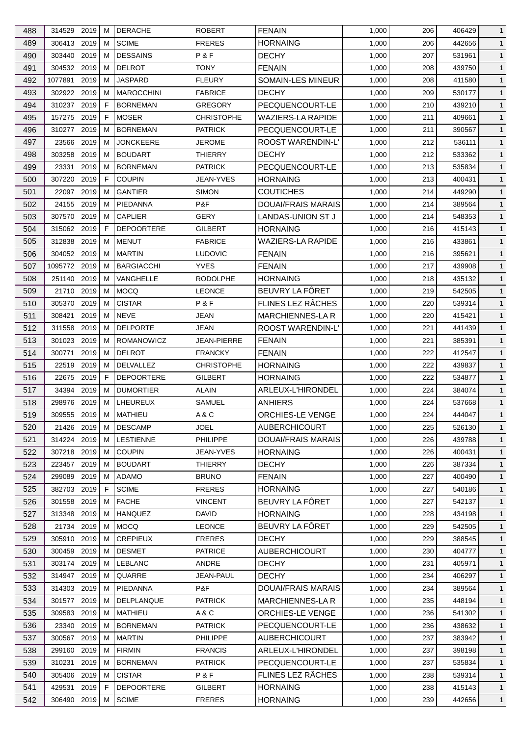| 488 | 314529 2019   |      | M  | <b>DERACHE</b>    | <b>ROBERT</b>                       | <b>FENAIN</b>             | 1,000 | 206        | 406429 | $\mathbf{1}$                 |
|-----|---------------|------|----|-------------------|-------------------------------------|---------------------------|-------|------------|--------|------------------------------|
| 489 | 306413        | 2019 | M  | <b>SCIME</b>      | <b>FRERES</b>                       | <b>HORNAING</b>           | 1,000 | 206        | 442656 | $\mathbf{1}$                 |
| 490 | 303440        | 2019 | M  | <b>DESSAINS</b>   | P&F                                 | <b>DECHY</b>              | 1,000 | 207        | 531961 | $\mathbf{1}$                 |
| 491 | 304532 2019   |      | М  | <b>DELROT</b>     | <b>TONY</b>                         | <b>FENAIN</b>             | 1,000 | 208        | 439750 | $\mathbf{1}$                 |
| 492 | 1077891       | 2019 | M  | <b>JASPARD</b>    | <b>FLEURY</b>                       | <b>SOMAIN-LES MINEUR</b>  | 1,000 | 208        | 411580 | $\mathbf{1}$                 |
| 493 | 302922        | 2019 | M  | <b>MAROCCHINI</b> | <b>FABRICE</b>                      | <b>DECHY</b>              | 1,000 | 209        | 530177 | $\mathbf{1}$                 |
| 494 | 310237        | 2019 | F  | <b>BORNEMAN</b>   | <b>GREGORY</b>                      | PECQUENCOURT-LE           | 1,000 | 210        | 439210 | $\mathbf{1}$                 |
| 495 | 157275        | 2019 | F  | <b>MOSER</b>      | <b>CHRISTOPHE</b>                   | <b>WAZIERS-LA RAPIDE</b>  | 1,000 | 211        | 409661 | $\mathbf{1}$                 |
| 496 | 310277        | 2019 | M  | <b>BORNEMAN</b>   | <b>PATRICK</b>                      | PECQUENCOURT-LE           | 1,000 | 211        | 390567 | $\mathbf{1}$                 |
| 497 | 23566         | 2019 | M  | <b>JONCKEERE</b>  | JEROME                              | ROOST WARENDIN-L'         | 1,000 | 212        | 536111 | $\mathbf{1}$                 |
| 498 | 303258        | 2019 | M  | <b>BOUDART</b>    | <b>THIERRY</b>                      | <b>DECHY</b>              | 1,000 | 212        | 533362 | $\mathbf{1}$                 |
| 499 | 23331         | 2019 | M  | <b>BORNEMAN</b>   | <b>PATRICK</b>                      | PECQUENCOURT-LE           | 1,000 | 213        | 535834 | $\mathbf{1}$                 |
| 500 | 307220        | 2019 | F  | <b>COUPIN</b>     | JEAN-YVES                           | <b>HORNAING</b>           | 1,000 | 213        | 400431 | $\mathbf{1}$                 |
| 501 | 22097         | 2019 | M  | <b>GANTIER</b>    | <b>SIMON</b>                        | <b>COUTICHES</b>          | 1,000 | 214        | 449290 | $\mathbf{1}$                 |
| 502 | 24155         | 2019 | М  | PIEDANNA          | P&F                                 | <b>DOUAI/FRAIS MARAIS</b> | 1,000 | 214        | 389564 | $\mathbf{1}$                 |
| 503 | 307570        | 2019 | M  | <b>CAPLIER</b>    | <b>GERY</b>                         | <b>LANDAS-UNION ST J</b>  | 1,000 | 214        | 548353 | $\mathbf{1}$                 |
| 504 | 315062        | 2019 | E  | <b>DEPOORTERE</b> | GILBERT                             | <b>HORNAING</b>           | 1,000 | 216        | 415143 | $\mathbf{1}$                 |
| 505 | 312838        | 2019 | М  | <b>MENUT</b>      | <b>FABRICE</b>                      | <b>WAZIERS-LA RAPIDE</b>  | 1,000 | 216        | 433861 | $\mathbf{1}$                 |
| 506 | 304052 2019   |      | M  | <b>MARTIN</b>     | <b>LUDOVIC</b>                      | <b>FENAIN</b>             | 1,000 | 216        | 395621 | $\mathbf{1}$                 |
| 507 | 1095772       | 2019 | M  | <b>BARGIACCHI</b> | <b>YVES</b>                         | <b>FENAIN</b>             | 1,000 | 217        | 439908 | $\mathbf{1}$                 |
| 508 | 251140        | 2019 | M  | <b>VANGHELLE</b>  | <b>RODOLPHE</b>                     | <b>HORNAING</b>           | 1,000 | 218        | 435132 | $\mathbf{1}$                 |
| 509 | 21710         | 2019 | M  | <b>MOCQ</b>       | <b>LEONCE</b>                       | BEUVRY LA FÔRET           | 1,000 | 219        | 542505 | $\mathbf{1}$                 |
| 510 | 305370        | 2019 | M  | <b>CISTAR</b>     | P&F                                 | FLINES LEZ RÂCHES         | 1,000 | 220        | 539314 | $\mathbf{1}$                 |
| 511 | 308421        | 2019 | M  | <b>NEVE</b>       | JEAN                                | <b>MARCHIENNES-LA R</b>   | 1,000 | 220        | 415421 | $\mathbf{1}$                 |
| 512 | 311558        | 2019 | М  | <b>DELPORTE</b>   | JEAN                                | ROOST WARENDIN-L'         | 1,000 | 221        | 441439 | $\mathbf{1}$                 |
| 513 | 301023        | 2019 | М  | <b>ROMANOWICZ</b> | JEAN-PIERRE                         | <b>FENAIN</b>             | 1,000 | 221        | 385391 | $\mathbf{1}$                 |
|     | 300771        | 2019 | M  | <b>DELROT</b>     |                                     | <b>FENAIN</b>             |       |            |        | $\mathbf{1}$                 |
| 514 |               | 2019 | M  | <b>DELVALLEZ</b>  | <b>FRANCKY</b><br><b>CHRISTOPHE</b> |                           | 1,000 | 222        | 412547 |                              |
| 515 | 22519         | 2019 | F  | <b>DEPOORTERE</b> |                                     | <b>HORNAING</b>           | 1,000 | 222<br>222 | 439837 | $\mathbf{1}$<br>$\mathbf{1}$ |
| 516 | 22675         | 2019 |    | <b>DUMORTIER</b>  | GILBERT<br><b>ALAIN</b>             | <b>HORNAING</b>           | 1,000 |            | 534877 |                              |
| 517 | 34394         |      | M  |                   |                                     | ARLEUX-L'HIRONDEL         | 1,000 | 224        | 384074 | $\mathbf{1}$                 |
| 518 | 298976        | 2019 | M  | LHEUREUX          | SAMUEL                              | <b>ANHIERS</b>            | 1,000 | 224        | 537668 | $\mathbf{1}$                 |
| 519 | 309555 2019 M |      |    | MATHIEU           | A&C                                 | ORCHIES-LE VENGE          | 1,000 | 224        | 444047 | $\mathbf{1}$                 |
| 520 | 21426 2019    |      | M  | <b>DESCAMP</b>    | <b>JOEL</b>                         | <b>AUBERCHICOURT</b>      | 1,000 | 225        | 526130 | $\mathbf{1}$                 |
| 521 | 314224 2019   |      | M  | <b>LESTIENNE</b>  | PHILIPPE                            | DOUAI/FRAIS MARAIS        | 1,000 | 226        | 439788 | $\mathbf{1}$                 |
| 522 | 307218 2019   |      | M  | <b>COUPIN</b>     | <b>JEAN-YVES</b>                    | <b>HORNAING</b>           | 1,000 | 226        | 400431 | $\mathbf{1}$                 |
| 523 | 223457        | 2019 | M  | <b>BOUDART</b>    | <b>THIERRY</b>                      | <b>DECHY</b>              | 1,000 | 226        | 387334 | $\mathbf{1}$                 |
| 524 | 299089        | 2019 | M  | ADAMO             | <b>BRUNO</b>                        | <b>FENAIN</b>             | 1,000 | 227        | 400490 | $\mathbf{1}$                 |
| 525 | 382703 2019   |      | F. | <b>SCIME</b>      | <b>FRERES</b>                       | <b>HORNAING</b>           | 1,000 | 227        | 540186 | $\mathbf{1}$                 |
| 526 | 301558        | 2019 | M  | <b>FACHE</b>      | <b>VINCENT</b>                      | BEUVRY LA FÖRET           | 1,000 | 227        | 542137 | $\mathbf{1}$                 |
| 527 | 313348        | 2019 | М  | <b>HANQUEZ</b>    | <b>DAVID</b>                        | <b>HORNAING</b>           | 1,000 | 228        | 434198 | $\mathbf{1}$                 |
| 528 | 21734 2019    |      | M  | <b>MOCQ</b>       | <b>LEONCE</b>                       | BEUVRY LA FÔRET           | 1,000 | 229        | 542505 | $\mathbf{1}$                 |
| 529 | 305910 2019   |      | M  | <b>CREPIEUX</b>   | <b>FRERES</b>                       | <b>DECHY</b>              | 1,000 | 229        | 388545 | $\mathbf{1}$                 |
| 530 | 300459 2019   |      | M  | <b>DESMET</b>     | <b>PATRICE</b>                      | <b>AUBERCHICOURT</b>      | 1,000 | 230        | 404777 | $\mathbf{1}$                 |
| 531 | 303174        | 2019 | M  | <b>LEBLANC</b>    | ANDRE                               | <b>DECHY</b>              | 1,000 | 231        | 405971 | $\mathbf{1}$                 |
| 532 | 314947 2019   |      | M  | QUARRE            | JEAN-PAUL                           | <b>DECHY</b>              | 1,000 | 234        | 406297 | $\mathbf{1}$                 |
| 533 | 314303        | 2019 | M  | PIEDANNA          | P&F                                 | DOUAI/FRAIS MARAIS        | 1,000 | 234        | 389564 | $\mathbf{1}$                 |
| 534 | 301577        | 2019 | M  | DELPLANQUE        | <b>PATRICK</b>                      | <b>MARCHIENNES-LAR</b>    | 1,000 | 235        | 448194 | $\mathbf{1}$                 |
| 535 | 309583 2019   |      | M  | <b>MATHIEU</b>    | A&C                                 | ORCHIES-LE VENGE          | 1,000 | 236        | 541302 | $\mathbf{1}$                 |
| 536 | 23340 2019    |      | M  | <b>BORNEMAN</b>   | <b>PATRICK</b>                      | PECQUENCOURT-LE           | 1,000 | 236        | 438632 | $\mathbf{1}$                 |
| 537 | 300567        | 2019 | M  | <b>MARTIN</b>     | <b>PHILIPPE</b>                     | <b>AUBERCHICOURT</b>      | 1,000 | 237        | 383942 | $\mathbf{1}$                 |
| 538 | 299160        | 2019 | M  | <b>FIRMIN</b>     | <b>FRANCIS</b>                      | ARLEUX-L'HIRONDEL         | 1,000 | 237        | 398198 | $\mathbf{1}$                 |
| 539 | 310231        | 2019 | M  | <b>BORNEMAN</b>   | <b>PATRICK</b>                      | PECQUENCOURT-LE           | 1,000 | 237        | 535834 | $\mathbf{1}$                 |
| 540 | 305406 2019   |      | M  | <b>CISTAR</b>     | P&F                                 | FLINES LEZ RÂCHES         | 1,000 | 238        | 539314 | $\mathbf{1}$                 |
| 541 | 429531        | 2019 | F. | <b>DEPOORTERE</b> | GILBERT                             | <b>HORNAING</b>           | 1,000 | 238        | 415143 | $\mathbf{1}$                 |
| 542 | 306490 2019   |      | M  | <b>SCIME</b>      | <b>FRERES</b>                       | <b>HORNAING</b>           | 1,000 | 239        | 442656 | $\mathbf{1}$                 |